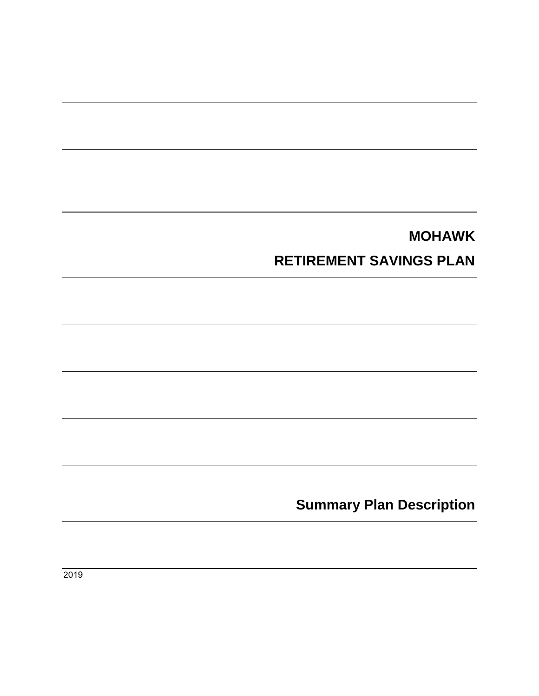# **MOHAWK**

# **RETIREMENT SAVINGS PLAN**

**Summary Plan Description**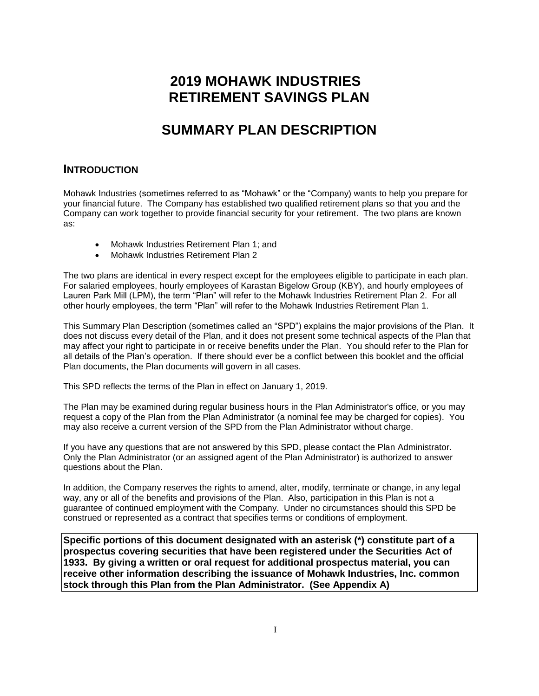## **2019 MOHAWK INDUSTRIES RETIREMENT SAVINGS PLAN**

## **SUMMARY PLAN DESCRIPTION**

#### **INTRODUCTION**

Mohawk Industries (sometimes referred to as "Mohawk" or the "Company) wants to help you prepare for your financial future. The Company has established two qualified retirement plans so that you and the Company can work together to provide financial security for your retirement. The two plans are known as:

- Mohawk Industries Retirement Plan 1; and
- Mohawk Industries Retirement Plan 2

The two plans are identical in every respect except for the employees eligible to participate in each plan. For salaried employees, hourly employees of Karastan Bigelow Group (KBY), and hourly employees of Lauren Park Mill (LPM), the term "Plan" will refer to the Mohawk Industries Retirement Plan 2. For all other hourly employees, the term "Plan" will refer to the Mohawk Industries Retirement Plan 1.

This Summary Plan Description (sometimes called an "SPD") explains the major provisions of the Plan. It does not discuss every detail of the Plan, and it does not present some technical aspects of the Plan that may affect your right to participate in or receive benefits under the Plan. You should refer to the Plan for all details of the Plan's operation. If there should ever be a conflict between this booklet and the official Plan documents, the Plan documents will govern in all cases.

This SPD reflects the terms of the Plan in effect on January 1, 2019.

The Plan may be examined during regular business hours in the Plan Administrator's office, or you may request a copy of the Plan from the Plan Administrator (a nominal fee may be charged for copies). You may also receive a current version of the SPD from the Plan Administrator without charge.

If you have any questions that are not answered by this SPD, please contact the Plan Administrator. Only the Plan Administrator (or an assigned agent of the Plan Administrator) is authorized to answer questions about the Plan.

In addition, the Company reserves the rights to amend, alter, modify, terminate or change, in any legal way, any or all of the benefits and provisions of the Plan. Also, participation in this Plan is not a guarantee of continued employment with the Company. Under no circumstances should this SPD be construed or represented as a contract that specifies terms or conditions of employment.

**Specific portions of this document designated with an asterisk (\*) constitute part of a prospectus covering securities that have been registered under the Securities Act of 1933. By giving a written or oral request for additional prospectus material, you can receive other information describing the issuance of Mohawk Industries, Inc. common stock through this Plan from the Plan Administrator. (See Appendix A)**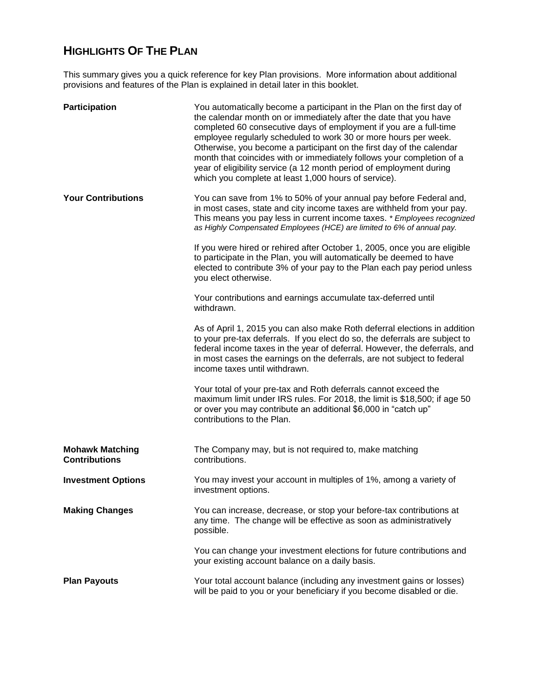#### **HIGHLIGHTS OF THE PLAN**

This summary gives you a quick reference for key Plan provisions. More information about additional provisions and features of the Plan is explained in detail later in this booklet.

| Participation                                  | You automatically become a participant in the Plan on the first day of<br>the calendar month on or immediately after the date that you have<br>completed 60 consecutive days of employment if you are a full-time<br>employee regularly scheduled to work 30 or more hours per week.<br>Otherwise, you become a participant on the first day of the calendar<br>month that coincides with or immediately follows your completion of a<br>year of eligibility service (a 12 month period of employment during<br>which you complete at least 1,000 hours of service). |
|------------------------------------------------|----------------------------------------------------------------------------------------------------------------------------------------------------------------------------------------------------------------------------------------------------------------------------------------------------------------------------------------------------------------------------------------------------------------------------------------------------------------------------------------------------------------------------------------------------------------------|
| <b>Your Contributions</b>                      | You can save from 1% to 50% of your annual pay before Federal and,<br>in most cases, state and city income taxes are withheld from your pay.<br>This means you pay less in current income taxes. * Employees recognized<br>as Highly Compensated Employees (HCE) are limited to 6% of annual pay.                                                                                                                                                                                                                                                                    |
|                                                | If you were hired or rehired after October 1, 2005, once you are eligible<br>to participate in the Plan, you will automatically be deemed to have<br>elected to contribute 3% of your pay to the Plan each pay period unless<br>you elect otherwise.                                                                                                                                                                                                                                                                                                                 |
|                                                | Your contributions and earnings accumulate tax-deferred until<br>withdrawn.                                                                                                                                                                                                                                                                                                                                                                                                                                                                                          |
|                                                | As of April 1, 2015 you can also make Roth deferral elections in addition<br>to your pre-tax deferrals. If you elect do so, the deferrals are subject to<br>federal income taxes in the year of deferral. However, the deferrals, and<br>in most cases the earnings on the deferrals, are not subject to federal<br>income taxes until withdrawn.                                                                                                                                                                                                                    |
|                                                | Your total of your pre-tax and Roth deferrals cannot exceed the<br>maximum limit under IRS rules. For 2018, the limit is \$18,500; if age 50<br>or over you may contribute an additional \$6,000 in "catch up"<br>contributions to the Plan.                                                                                                                                                                                                                                                                                                                         |
| <b>Mohawk Matching</b><br><b>Contributions</b> | The Company may, but is not required to, make matching<br>contributions.                                                                                                                                                                                                                                                                                                                                                                                                                                                                                             |
| <b>Investment Options</b>                      | You may invest your account in multiples of 1%, among a variety of<br>investment options.                                                                                                                                                                                                                                                                                                                                                                                                                                                                            |
| <b>Making Changes</b>                          | You can increase, decrease, or stop your before-tax contributions at<br>any time. The change will be effective as soon as administratively<br>possible.                                                                                                                                                                                                                                                                                                                                                                                                              |
|                                                | You can change your investment elections for future contributions and<br>your existing account balance on a daily basis.                                                                                                                                                                                                                                                                                                                                                                                                                                             |
| <b>Plan Payouts</b>                            | Your total account balance (including any investment gains or losses)<br>will be paid to you or your beneficiary if you become disabled or die.                                                                                                                                                                                                                                                                                                                                                                                                                      |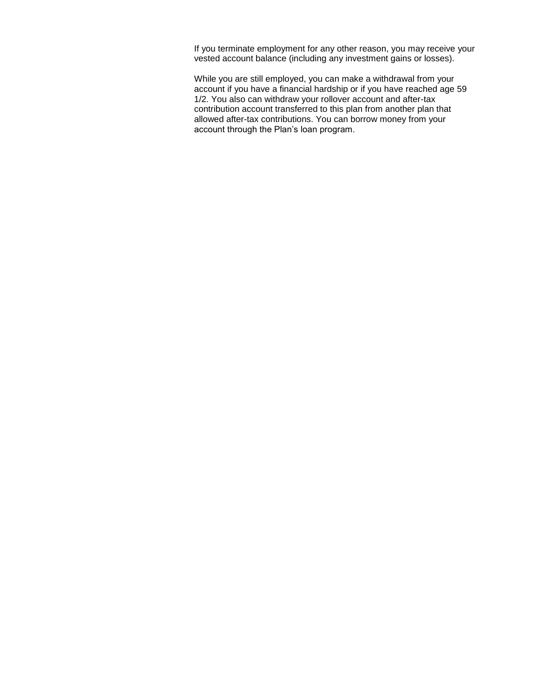If you terminate employment for any other reason, you may receive your vested account balance (including any investment gains or losses).

While you are still employed, you can make a withdrawal from your account if you have a financial hardship or if you have reached age 59 1/2. You also can withdraw your rollover account and after-tax contribution account transferred to this plan from another plan that allowed after-tax contributions. You can borrow money from your account through the Plan's loan program.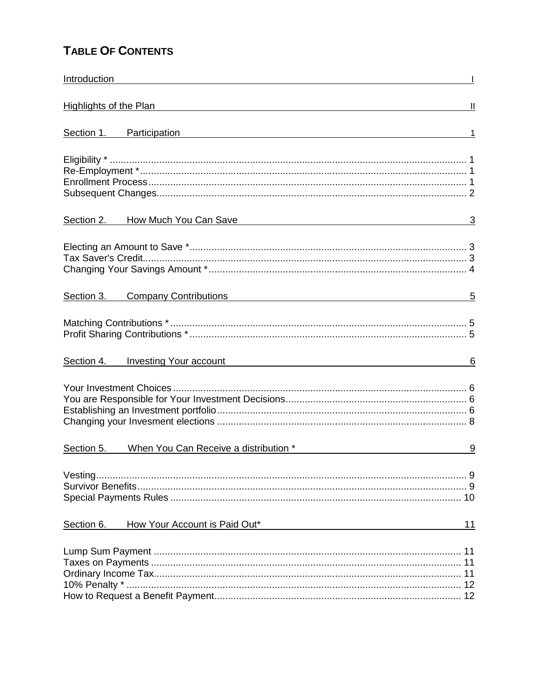#### **TABLE OF CONTENTS**

| Highlights of the Plan decrease and the property of the Plan decrease and the property of the Plan                                                                                                                            | $\mathbf{  }$ |
|-------------------------------------------------------------------------------------------------------------------------------------------------------------------------------------------------------------------------------|---------------|
| Section 1. Participation entrance and the control of the control of the control of the control of the control of the control of the control of the control of the control of the control of the control of the control of the |               |
|                                                                                                                                                                                                                               |               |
| Section 2.<br>How Much You Can Save Management Control of the Much You Can Save<br>-3                                                                                                                                         |               |
|                                                                                                                                                                                                                               |               |
| Company Contributions example and the company contributions<br>Section 3.                                                                                                                                                     | 5             |
|                                                                                                                                                                                                                               |               |
| <b>Investing Your account</b><br>Section 4.<br><u> 1989 - Johann Barn, mars and de Branch Barn, mars and de Branch Barn, mars and de Branch Barn, mars and de Br</u>                                                          | 6             |
|                                                                                                                                                                                                                               |               |
| When You Can Receive a distribution *<br>Section 5.<br><u> 1980 - Jan Barbara Barbara, m</u>                                                                                                                                  | 9             |
|                                                                                                                                                                                                                               |               |
| How Your Account is Paid Out*<br>Section 6.<br>11                                                                                                                                                                             |               |
|                                                                                                                                                                                                                               |               |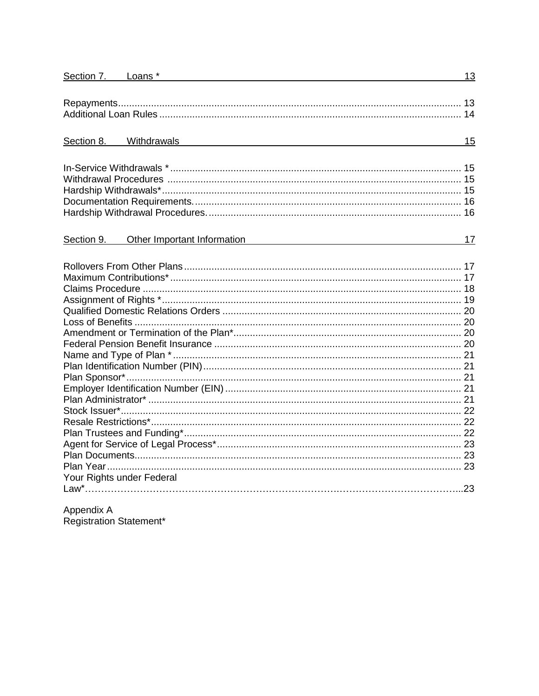| Section 7. Loans *                                   | 13 |
|------------------------------------------------------|----|
|                                                      |    |
|                                                      |    |
|                                                      |    |
|                                                      |    |
| Section 8. Withdrawals <b>Example 2.1 Section</b> 8. | 15 |
|                                                      |    |
|                                                      |    |
|                                                      |    |
|                                                      |    |
|                                                      |    |
|                                                      |    |
|                                                      |    |
| Other Important Information<br>Section 9.            | 17 |
|                                                      |    |
|                                                      |    |
|                                                      |    |
|                                                      |    |
|                                                      |    |
|                                                      |    |
|                                                      |    |
|                                                      |    |
|                                                      |    |
|                                                      |    |
|                                                      |    |
|                                                      |    |
|                                                      |    |
|                                                      |    |
|                                                      |    |
|                                                      |    |
|                                                      |    |
|                                                      |    |
|                                                      |    |
|                                                      |    |
| Your Rights under Federal                            |    |
|                                                      |    |
|                                                      |    |

Appendix A<br>Registration Statement\*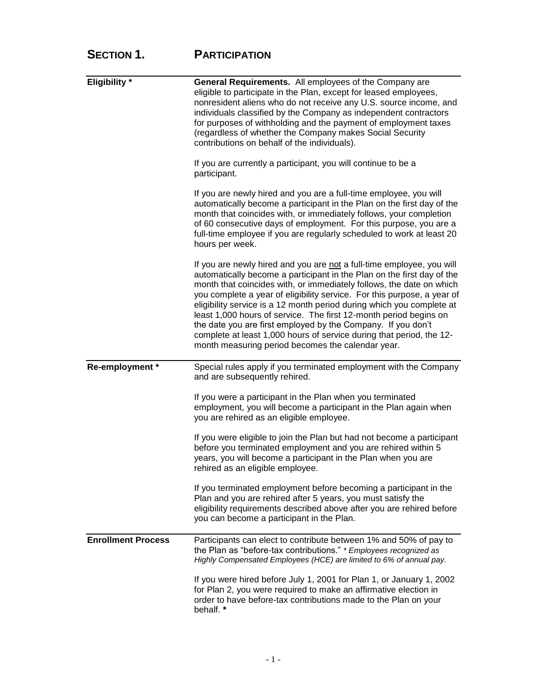### **SECTION 1. PARTICIPATION**

| <b>Eligibility</b> *      | <b>General Requirements.</b> All employees of the Company are<br>eligible to participate in the Plan, except for leased employees,<br>nonresident aliens who do not receive any U.S. source income, and<br>individuals classified by the Company as independent contractors<br>for purposes of withholding and the payment of employment taxes<br>(regardless of whether the Company makes Social Security<br>contributions on behalf of the individuals).                                                                                                                                                                                    |
|---------------------------|-----------------------------------------------------------------------------------------------------------------------------------------------------------------------------------------------------------------------------------------------------------------------------------------------------------------------------------------------------------------------------------------------------------------------------------------------------------------------------------------------------------------------------------------------------------------------------------------------------------------------------------------------|
|                           | If you are currently a participant, you will continue to be a<br>participant.                                                                                                                                                                                                                                                                                                                                                                                                                                                                                                                                                                 |
|                           | If you are newly hired and you are a full-time employee, you will<br>automatically become a participant in the Plan on the first day of the<br>month that coincides with, or immediately follows, your completion<br>of 60 consecutive days of employment. For this purpose, you are a<br>full-time employee if you are regularly scheduled to work at least 20<br>hours per week.                                                                                                                                                                                                                                                            |
|                           | If you are newly hired and you are not a full-time employee, you will<br>automatically become a participant in the Plan on the first day of the<br>month that coincides with, or immediately follows, the date on which<br>you complete a year of eligibility service. For this purpose, a year of<br>eligibility service is a 12 month period during which you complete at<br>least 1,000 hours of service. The first 12-month period begins on<br>the date you are first employed by the Company. If you don't<br>complete at least 1,000 hours of service during that period, the 12-<br>month measuring period becomes the calendar year. |
| Re-employment *           | Special rules apply if you terminated employment with the Company<br>and are subsequently rehired.                                                                                                                                                                                                                                                                                                                                                                                                                                                                                                                                            |
|                           | If you were a participant in the Plan when you terminated<br>employment, you will become a participant in the Plan again when<br>you are rehired as an eligible employee.                                                                                                                                                                                                                                                                                                                                                                                                                                                                     |
|                           | If you were eligible to join the Plan but had not become a participant<br>before you terminated employment and you are rehired within 5<br>years, you will become a participant in the Plan when you are<br>rehired as an eligible employee.                                                                                                                                                                                                                                                                                                                                                                                                  |
|                           | If you terminated employment before becoming a participant in the<br>Plan and you are rehired after 5 years, you must satisfy the<br>eligibility requirements described above after you are rehired before<br>you can become a participant in the Plan.                                                                                                                                                                                                                                                                                                                                                                                       |
| <b>Enrollment Process</b> | Participants can elect to contribute between 1% and 50% of pay to<br>the Plan as "before-tax contributions." * Employees recognized as<br>Highly Compensated Employees (HCE) are limited to 6% of annual pay.                                                                                                                                                                                                                                                                                                                                                                                                                                 |
|                           | If you were hired before July 1, 2001 for Plan 1, or January 1, 2002<br>for Plan 2, you were required to make an affirmative election in<br>order to have before-tax contributions made to the Plan on your<br>behalf. *                                                                                                                                                                                                                                                                                                                                                                                                                      |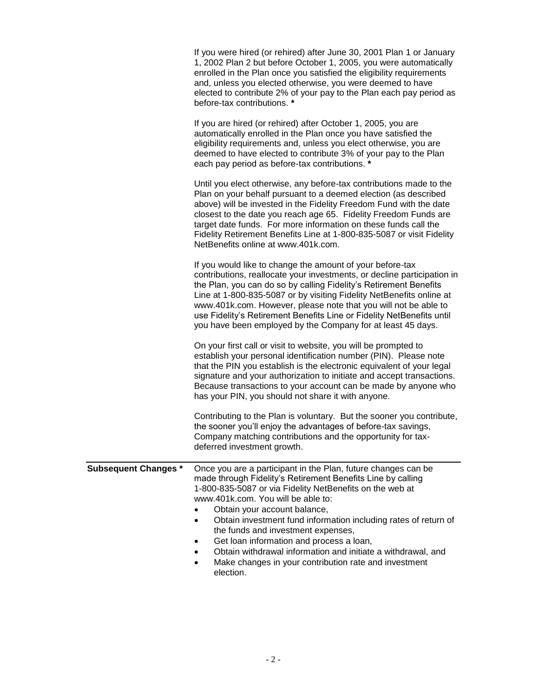|                             | If you were hired (or rehired) after June 30, 2001 Plan 1 or January<br>1, 2002 Plan 2 but before October 1, 2005, you were automatically<br>enrolled in the Plan once you satisfied the eligibility requirements<br>and, unless you elected otherwise, you were deemed to have<br>elected to contribute 2% of your pay to the Plan each pay period as<br>before-tax contributions. *                                                                                                                                                                     |
|-----------------------------|-----------------------------------------------------------------------------------------------------------------------------------------------------------------------------------------------------------------------------------------------------------------------------------------------------------------------------------------------------------------------------------------------------------------------------------------------------------------------------------------------------------------------------------------------------------|
|                             | If you are hired (or rehired) after October 1, 2005, you are<br>automatically enrolled in the Plan once you have satisfied the<br>eligibility requirements and, unless you elect otherwise, you are<br>deemed to have elected to contribute 3% of your pay to the Plan<br>each pay period as before-tax contributions. *                                                                                                                                                                                                                                  |
|                             | Until you elect otherwise, any before-tax contributions made to the<br>Plan on your behalf pursuant to a deemed election (as described<br>above) will be invested in the Fidelity Freedom Fund with the date<br>closest to the date you reach age 65. Fidelity Freedom Funds are<br>target date funds. For more information on these funds call the<br>Fidelity Retirement Benefits Line at 1-800-835-5087 or visit Fidelity<br>NetBenefits online at www.401k.com.                                                                                       |
|                             | If you would like to change the amount of your before-tax<br>contributions, reallocate your investments, or decline participation in<br>the Plan, you can do so by calling Fidelity's Retirement Benefits<br>Line at 1-800-835-5087 or by visiting Fidelity NetBenefits online at<br>www.401k.com. However, please note that you will not be able to<br>use Fidelity's Retirement Benefits Line or Fidelity NetBenefits until<br>you have been employed by the Company for at least 45 days.                                                              |
|                             | On your first call or visit to website, you will be prompted to<br>establish your personal identification number (PIN). Please note<br>that the PIN you establish is the electronic equivalent of your legal<br>signature and your authorization to initiate and accept transactions.<br>Because transactions to your account can be made by anyone who<br>has your PIN, you should not share it with anyone.                                                                                                                                             |
|                             | Contributing to the Plan is voluntary. But the sooner you contribute,<br>the sooner you'll enjoy the advantages of before-tax savings,<br>Company matching contributions and the opportunity for tax-<br>deferred investment growth.                                                                                                                                                                                                                                                                                                                      |
| <b>Subsequent Changes *</b> | Once you are a participant in the Plan, future changes can be<br>made through Fidelity's Retirement Benefits Line by calling<br>1-800-835-5087 or via Fidelity NetBenefits on the web at<br>www.401k.com. You will be able to:<br>Obtain your account balance,<br>Obtain investment fund information including rates of return of<br>the funds and investment expenses,<br>Get loan information and process a loan,<br>Obtain withdrawal information and initiate a withdrawal, and<br>Make changes in your contribution rate and investment<br>election. |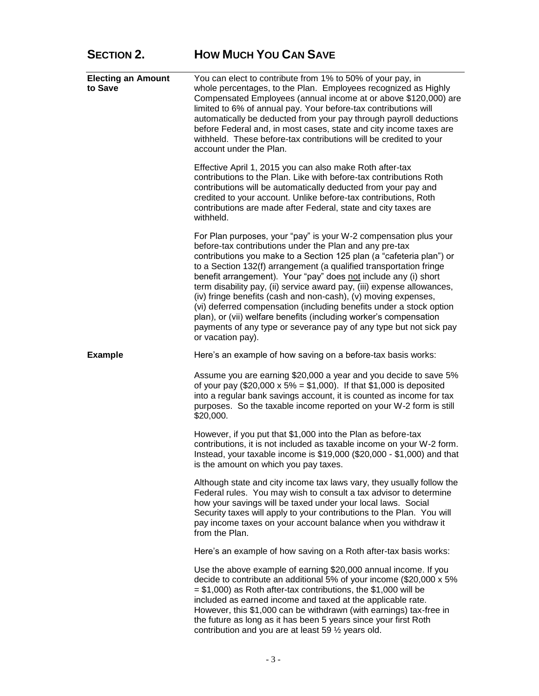### **SECTION 2. HOW MUCH YOU CAN SAVE**

| <b>Electing an Amount</b><br>to Save | You can elect to contribute from 1% to 50% of your pay, in<br>whole percentages, to the Plan. Employees recognized as Highly<br>Compensated Employees (annual income at or above \$120,000) are<br>limited to 6% of annual pay. Your before-tax contributions will<br>automatically be deducted from your pay through payroll deductions<br>before Federal and, in most cases, state and city income taxes are<br>withheld. These before-tax contributions will be credited to your<br>account under the Plan.                                                                                                                                                                                                                  |
|--------------------------------------|---------------------------------------------------------------------------------------------------------------------------------------------------------------------------------------------------------------------------------------------------------------------------------------------------------------------------------------------------------------------------------------------------------------------------------------------------------------------------------------------------------------------------------------------------------------------------------------------------------------------------------------------------------------------------------------------------------------------------------|
|                                      | Effective April 1, 2015 you can also make Roth after-tax<br>contributions to the Plan. Like with before-tax contributions Roth<br>contributions will be automatically deducted from your pay and<br>credited to your account. Unlike before-tax contributions, Roth<br>contributions are made after Federal, state and city taxes are<br>withheld.                                                                                                                                                                                                                                                                                                                                                                              |
|                                      | For Plan purposes, your "pay" is your W-2 compensation plus your<br>before-tax contributions under the Plan and any pre-tax<br>contributions you make to a Section 125 plan (a "cafeteria plan") or<br>to a Section 132(f) arrangement (a qualified transportation fringe<br>benefit arrangement). Your "pay" does not include any (i) short<br>term disability pay, (ii) service award pay, (iii) expense allowances,<br>(iv) fringe benefits (cash and non-cash), (v) moving expenses,<br>(vi) deferred compensation (including benefits under a stock option<br>plan), or (vii) welfare benefits (including worker's compensation<br>payments of any type or severance pay of any type but not sick pay<br>or vacation pay). |
| <b>Example</b>                       | Here's an example of how saving on a before-tax basis works:                                                                                                                                                                                                                                                                                                                                                                                                                                                                                                                                                                                                                                                                    |
|                                      | Assume you are earning \$20,000 a year and you decide to save 5%<br>of your pay (\$20,000 x 5% = \$1,000). If that \$1,000 is deposited<br>into a regular bank savings account, it is counted as income for tax<br>purposes. So the taxable income reported on your W-2 form is still<br>\$20,000.                                                                                                                                                                                                                                                                                                                                                                                                                              |
|                                      | However, if you put that \$1,000 into the Plan as before-tax<br>contributions, it is not included as taxable income on your W-2 form.<br>Instead, your taxable income is \$19,000 (\$20,000 - \$1,000) and that<br>is the amount on which you pay taxes.                                                                                                                                                                                                                                                                                                                                                                                                                                                                        |
|                                      | Although state and city income tax laws vary, they usually follow the<br>Federal rules. You may wish to consult a tax advisor to determine<br>how your savings will be taxed under your local laws. Social<br>Security taxes will apply to your contributions to the Plan. You will<br>pay income taxes on your account balance when you withdraw it<br>from the Plan.                                                                                                                                                                                                                                                                                                                                                          |
|                                      | Here's an example of how saving on a Roth after-tax basis works:                                                                                                                                                                                                                                                                                                                                                                                                                                                                                                                                                                                                                                                                |
|                                      | Use the above example of earning \$20,000 annual income. If you<br>decide to contribute an additional 5% of your income (\$20,000 x 5%<br>$=$ \$1,000) as Roth after-tax contributions, the \$1,000 will be<br>included as earned income and taxed at the applicable rate.<br>However, this \$1,000 can be withdrawn (with earnings) tax-free in<br>the future as long as it has been 5 years since your first Roth<br>contribution and you are at least 59 1/2 years old.                                                                                                                                                                                                                                                      |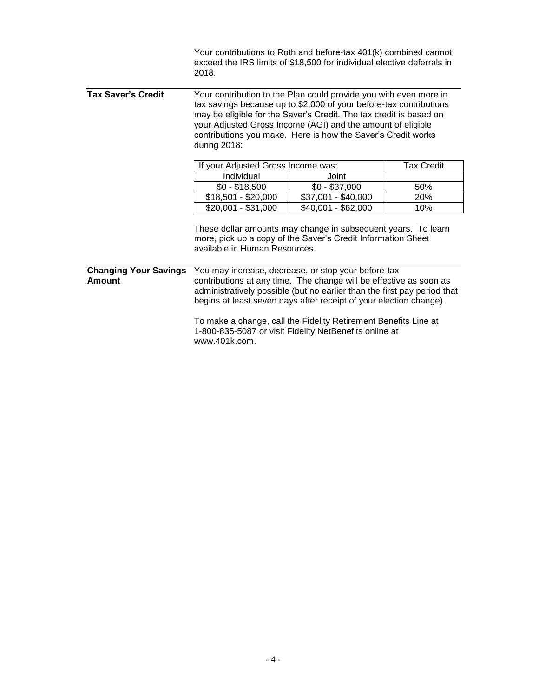|                                               | Your contributions to Roth and before-tax 401(k) combined cannot<br>exceed the IRS limits of \$18,500 for individual elective deferrals in<br>2018.                                                                                                                                                                                                          |                     |                   |
|-----------------------------------------------|--------------------------------------------------------------------------------------------------------------------------------------------------------------------------------------------------------------------------------------------------------------------------------------------------------------------------------------------------------------|---------------------|-------------------|
| <b>Tax Saver's Credit</b>                     | Your contribution to the Plan could provide you with even more in<br>tax savings because up to \$2,000 of your before-tax contributions<br>may be eligible for the Saver's Credit. The tax credit is based on<br>your Adjusted Gross Income (AGI) and the amount of eligible<br>contributions you make. Here is how the Saver's Credit works<br>during 2018: |                     |                   |
|                                               | If your Adjusted Gross Income was:                                                                                                                                                                                                                                                                                                                           |                     | <b>Tax Credit</b> |
|                                               | Individual                                                                                                                                                                                                                                                                                                                                                   | Joint               |                   |
|                                               | $$0 - $18,500$                                                                                                                                                                                                                                                                                                                                               | $$0 - $37,000$      | 50%               |
|                                               | $$18,501 - $20,000$                                                                                                                                                                                                                                                                                                                                          | \$37,001 - \$40,000 | 20%               |
|                                               | $$20,001 - $31,000$                                                                                                                                                                                                                                                                                                                                          | \$40,001 - \$62,000 | 10%               |
|                                               | These dollar amounts may change in subsequent years. To learn<br>more, pick up a copy of the Saver's Credit Information Sheet<br>available in Human Resources.                                                                                                                                                                                               |                     |                   |
| <b>Changing Your Savings</b><br><b>Amount</b> | You may increase, decrease, or stop your before-tax<br>contributions at any time. The change will be effective as soon as<br>administratively possible (but no earlier than the first pay period that<br>begins at least seven days after receipt of your election change).                                                                                  |                     |                   |
|                                               | To make a change, call the Fidelity Retirement Benefits Line at<br>1-800-835-5087 or visit Fidelity NetBenefits online at<br>www.401k.com.                                                                                                                                                                                                                   |                     |                   |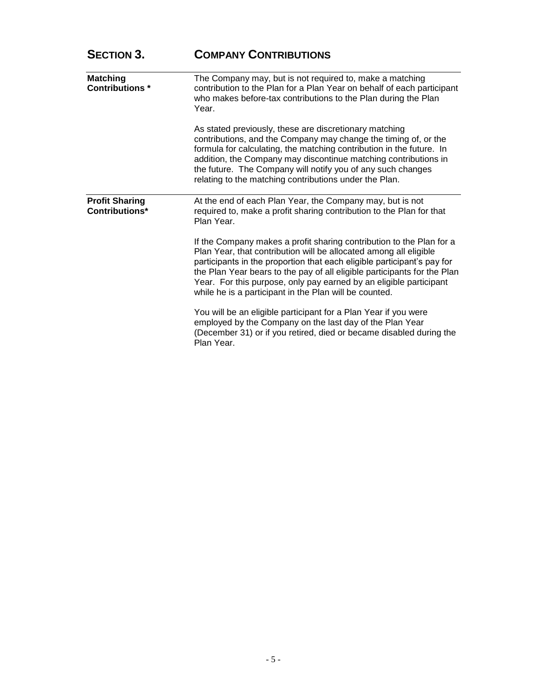| <b>SECTION 3.</b>                        | <b>COMPANY CONTRIBUTIONS</b>                                                                                                                                                                                                                                                                                                                                                                                                     |
|------------------------------------------|----------------------------------------------------------------------------------------------------------------------------------------------------------------------------------------------------------------------------------------------------------------------------------------------------------------------------------------------------------------------------------------------------------------------------------|
| <b>Matching</b><br><b>Contributions*</b> | The Company may, but is not required to, make a matching<br>contribution to the Plan for a Plan Year on behalf of each participant<br>who makes before-tax contributions to the Plan during the Plan<br>Year.                                                                                                                                                                                                                    |
|                                          | As stated previously, these are discretionary matching<br>contributions, and the Company may change the timing of, or the<br>formula for calculating, the matching contribution in the future. In<br>addition, the Company may discontinue matching contributions in<br>the future. The Company will notify you of any such changes<br>relating to the matching contributions under the Plan.                                    |
| <b>Profit Sharing</b><br>Contributions*  | At the end of each Plan Year, the Company may, but is not<br>required to, make a profit sharing contribution to the Plan for that<br>Plan Year.                                                                                                                                                                                                                                                                                  |
|                                          | If the Company makes a profit sharing contribution to the Plan for a<br>Plan Year, that contribution will be allocated among all eligible<br>participants in the proportion that each eligible participant's pay for<br>the Plan Year bears to the pay of all eligible participants for the Plan<br>Year. For this purpose, only pay earned by an eligible participant<br>while he is a participant in the Plan will be counted. |
|                                          | You will be an eligible participant for a Plan Year if you were<br>employed by the Company on the last day of the Plan Year<br>(December 31) or if you retired, died or became disabled during the<br>Plan Year.                                                                                                                                                                                                                 |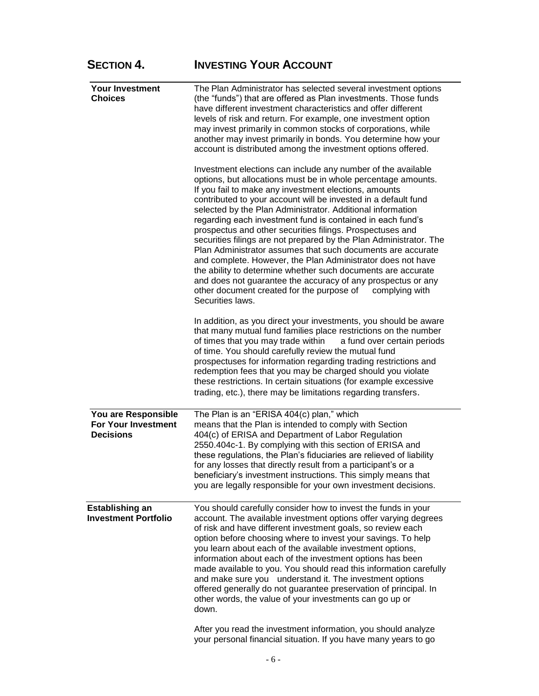| <b>SECTION 4.</b>                                                     | <b>INVESTING YOUR ACCOUNT</b>                                                                                                                                                                                                                                                                                                                                                                                                                                                                                                                                                                                                                                                                                                                                                                                                                                            |
|-----------------------------------------------------------------------|--------------------------------------------------------------------------------------------------------------------------------------------------------------------------------------------------------------------------------------------------------------------------------------------------------------------------------------------------------------------------------------------------------------------------------------------------------------------------------------------------------------------------------------------------------------------------------------------------------------------------------------------------------------------------------------------------------------------------------------------------------------------------------------------------------------------------------------------------------------------------|
| <b>Your Investment</b><br><b>Choices</b>                              | The Plan Administrator has selected several investment options<br>(the "funds") that are offered as Plan investments. Those funds<br>have different investment characteristics and offer different<br>levels of risk and return. For example, one investment option<br>may invest primarily in common stocks of corporations, while<br>another may invest primarily in bonds. You determine how your<br>account is distributed among the investment options offered.                                                                                                                                                                                                                                                                                                                                                                                                     |
|                                                                       | Investment elections can include any number of the available<br>options, but allocations must be in whole percentage amounts.<br>If you fail to make any investment elections, amounts<br>contributed to your account will be invested in a default fund<br>selected by the Plan Administrator. Additional information<br>regarding each investment fund is contained in each fund's<br>prospectus and other securities filings. Prospectuses and<br>securities filings are not prepared by the Plan Administrator. The<br>Plan Administrator assumes that such documents are accurate<br>and complete. However, the Plan Administrator does not have<br>the ability to determine whether such documents are accurate<br>and does not guarantee the accuracy of any prospectus or any<br>other document created for the purpose of<br>complying with<br>Securities laws. |
|                                                                       | In addition, as you direct your investments, you should be aware<br>that many mutual fund families place restrictions on the number<br>of times that you may trade within<br>a fund over certain periods<br>of time. You should carefully review the mutual fund<br>prospectuses for information regarding trading restrictions and<br>redemption fees that you may be charged should you violate<br>these restrictions. In certain situations (for example excessive<br>trading, etc.), there may be limitations regarding transfers.                                                                                                                                                                                                                                                                                                                                   |
| You are Responsible<br><b>For Your Investment</b><br><b>Decisions</b> | The Plan is an "ERISA 404(c) plan," which<br>means that the Plan is intended to comply with Section<br>404(c) of ERISA and Department of Labor Regulation<br>2550.404c-1. By complying with this section of ERISA and<br>these regulations, the Plan's fiduciaries are relieved of liability<br>for any losses that directly result from a participant's or a<br>beneficiary's investment instructions. This simply means that<br>you are legally responsible for your own investment decisions.                                                                                                                                                                                                                                                                                                                                                                         |
| <b>Establishing an</b><br><b>Investment Portfolio</b>                 | You should carefully consider how to invest the funds in your<br>account. The available investment options offer varying degrees<br>of risk and have different investment goals, so review each<br>option before choosing where to invest your savings. To help<br>you learn about each of the available investment options,<br>information about each of the investment options has been<br>made available to you. You should read this information carefully<br>and make sure you understand it. The investment options<br>offered generally do not guarantee preservation of principal. In<br>other words, the value of your investments can go up or<br>down.                                                                                                                                                                                                        |
|                                                                       | After you read the investment information, you should analyze                                                                                                                                                                                                                                                                                                                                                                                                                                                                                                                                                                                                                                                                                                                                                                                                            |

your personal financial situation. If you have many years to go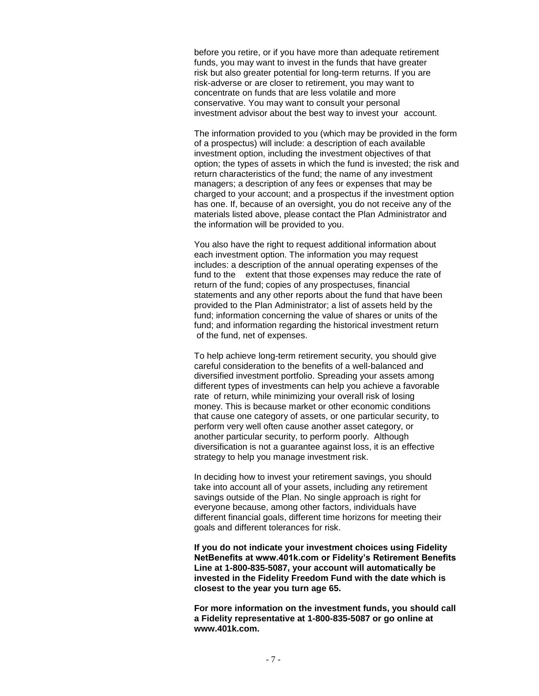before you retire, or if you have more than adequate retirement funds, you may want to invest in the funds that have greater risk but also greater potential for long-term returns. If you are risk-adverse or are closer to retirement, you may want to concentrate on funds that are less volatile and more conservative. You may want to consult your personal investment advisor about the best way to invest your account.

The information provided to you (which may be provided in the form of a prospectus) will include: a description of each available investment option, including the investment objectives of that option; the types of assets in which the fund is invested; the risk and return characteristics of the fund; the name of any investment managers; a description of any fees or expenses that may be charged to your account; and a prospectus if the investment option has one. If, because of an oversight, you do not receive any of the materials listed above, please contact the Plan Administrator and the information will be provided to you.

You also have the right to request additional information about each investment option. The information you may request includes: a description of the annual operating expenses of the fund to the extent that those expenses may reduce the rate of return of the fund; copies of any prospectuses, financial statements and any other reports about the fund that have been provided to the Plan Administrator; a list of assets held by the fund; information concerning the value of shares or units of the fund; and information regarding the historical investment return of the fund, net of expenses.

To help achieve long-term retirement security, you should give careful consideration to the benefits of a well-balanced and diversified investment portfolio. Spreading your assets among different types of investments can help you achieve a favorable rate of return, while minimizing your overall risk of losing money. This is because market or other economic conditions that cause one category of assets, or one particular security, to perform very well often cause another asset category, or another particular security, to perform poorly. Although diversification is not a guarantee against loss, it is an effective strategy to help you manage investment risk.

In deciding how to invest your retirement savings, you should take into account all of your assets, including any retirement savings outside of the Plan. No single approach is right for everyone because, among other factors, individuals have different financial goals, different time horizons for meeting their goals and different tolerances for risk.

**If you do not indicate your investment choices using Fidelity NetBenefits at www.401k.com or Fidelity's Retirement Benefits Line at 1-800-835-5087, your account will automatically be invested in the Fidelity Freedom Fund with the date which is closest to the year you turn age 65.** 

**For more information on the investment funds, you should call a Fidelity representative at 1-800-835-5087 or go online at www.401k.com.**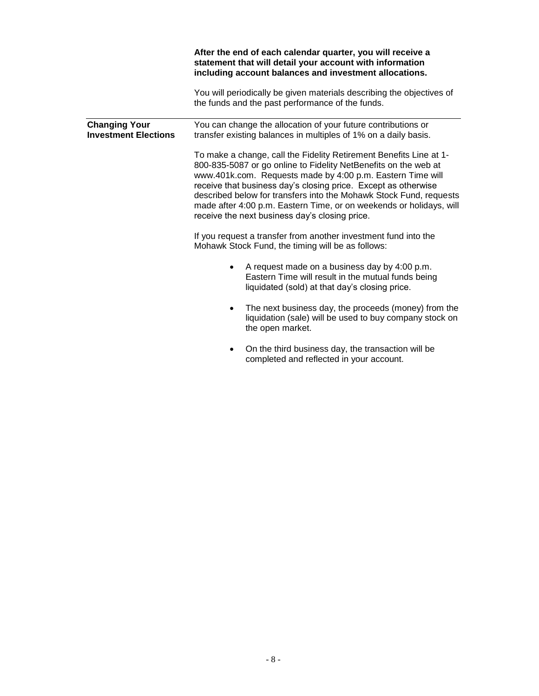|                                                     | After the end of each calendar quarter, you will receive a<br>statement that will detail your account with information<br>including account balances and investment allocations.                                                                                                                                                                                                                                                                                     |
|-----------------------------------------------------|----------------------------------------------------------------------------------------------------------------------------------------------------------------------------------------------------------------------------------------------------------------------------------------------------------------------------------------------------------------------------------------------------------------------------------------------------------------------|
|                                                     | You will periodically be given materials describing the objectives of<br>the funds and the past performance of the funds.                                                                                                                                                                                                                                                                                                                                            |
| <b>Changing Your</b><br><b>Investment Elections</b> | You can change the allocation of your future contributions or<br>transfer existing balances in multiples of 1% on a daily basis.                                                                                                                                                                                                                                                                                                                                     |
|                                                     | To make a change, call the Fidelity Retirement Benefits Line at 1-<br>800-835-5087 or go online to Fidelity NetBenefits on the web at<br>www.401k.com. Requests made by 4:00 p.m. Eastern Time will<br>receive that business day's closing price. Except as otherwise<br>described below for transfers into the Mohawk Stock Fund, requests<br>made after 4:00 p.m. Eastern Time, or on weekends or holidays, will<br>receive the next business day's closing price. |
|                                                     | If you request a transfer from another investment fund into the<br>Mohawk Stock Fund, the timing will be as follows:                                                                                                                                                                                                                                                                                                                                                 |
|                                                     | A request made on a business day by 4:00 p.m.<br>Eastern Time will result in the mutual funds being<br>liquidated (sold) at that day's closing price.                                                                                                                                                                                                                                                                                                                |
|                                                     | The next business day, the proceeds (money) from the<br>liquidation (sale) will be used to buy company stock on<br>the open market.                                                                                                                                                                                                                                                                                                                                  |
|                                                     | On the third business day, the transaction will be<br>completed and reflected in your account.                                                                                                                                                                                                                                                                                                                                                                       |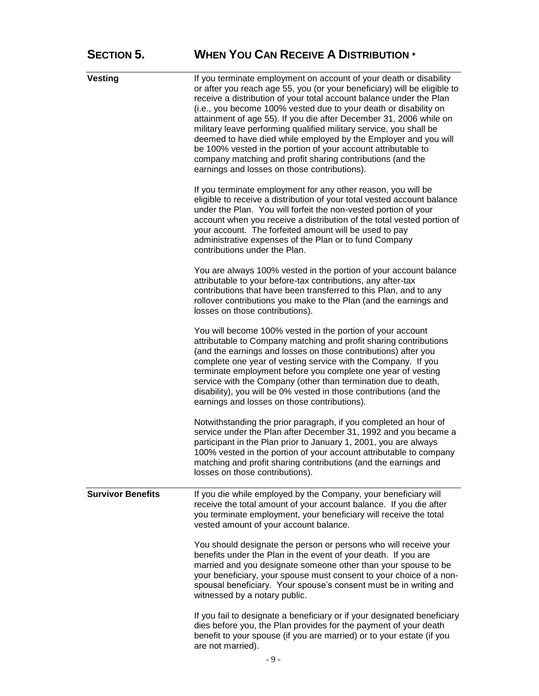| <b>Vesting</b>           | If you terminate employment on account of your death or disability<br>or after you reach age 55, you (or your beneficiary) will be eligible to<br>receive a distribution of your total account balance under the Plan<br>(i.e., you become 100% vested due to your death or disability on<br>attainment of age 55). If you die after December 31, 2006 while on<br>military leave performing qualified military service, you shall be<br>deemed to have died while employed by the Employer and you will<br>be 100% vested in the portion of your account attributable to<br>company matching and profit sharing contributions (and the<br>earnings and losses on those contributions). |
|--------------------------|-----------------------------------------------------------------------------------------------------------------------------------------------------------------------------------------------------------------------------------------------------------------------------------------------------------------------------------------------------------------------------------------------------------------------------------------------------------------------------------------------------------------------------------------------------------------------------------------------------------------------------------------------------------------------------------------|
|                          | If you terminate employment for any other reason, you will be<br>eligible to receive a distribution of your total vested account balance<br>under the Plan. You will forfeit the non-vested portion of your<br>account when you receive a distribution of the total vested portion of<br>your account. The forfeited amount will be used to pay<br>administrative expenses of the Plan or to fund Company<br>contributions under the Plan.                                                                                                                                                                                                                                              |
|                          | You are always 100% vested in the portion of your account balance<br>attributable to your before-tax contributions, any after-tax<br>contributions that have been transferred to this Plan, and to any<br>rollover contributions you make to the Plan (and the earnings and<br>losses on those contributions).                                                                                                                                                                                                                                                                                                                                                                          |
|                          | You will become 100% vested in the portion of your account<br>attributable to Company matching and profit sharing contributions<br>(and the earnings and losses on those contributions) after you<br>complete one year of vesting service with the Company. If you<br>terminate employment before you complete one year of vesting<br>service with the Company (other than termination due to death,<br>disability), you will be 0% vested in those contributions (and the<br>earnings and losses on those contributions).                                                                                                                                                              |
|                          | Notwithstanding the prior paragraph, if you completed an hour of<br>service under the Plan after December 31, 1992 and you became a<br>participant in the Plan prior to January 1, 2001, you are always<br>100% vested in the portion of your account attributable to company<br>matching and profit sharing contributions (and the earnings and<br>losses on those contributions).                                                                                                                                                                                                                                                                                                     |
| <b>Survivor Benefits</b> | If you die while employed by the Company, your beneficiary will<br>receive the total amount of your account balance. If you die after<br>you terminate employment, your beneficiary will receive the total<br>vested amount of your account balance.                                                                                                                                                                                                                                                                                                                                                                                                                                    |
|                          | You should designate the person or persons who will receive your<br>benefits under the Plan in the event of your death. If you are<br>married and you designate someone other than your spouse to be<br>your beneficiary, your spouse must consent to your choice of a non-<br>spousal beneficiary. Your spouse's consent must be in writing and<br>witnessed by a notary public.                                                                                                                                                                                                                                                                                                       |
|                          | If you fail to designate a beneficiary or if your designated beneficiary<br>dies before you, the Plan provides for the payment of your death<br>benefit to your spouse (if you are married) or to your estate (if you<br>are not married).                                                                                                                                                                                                                                                                                                                                                                                                                                              |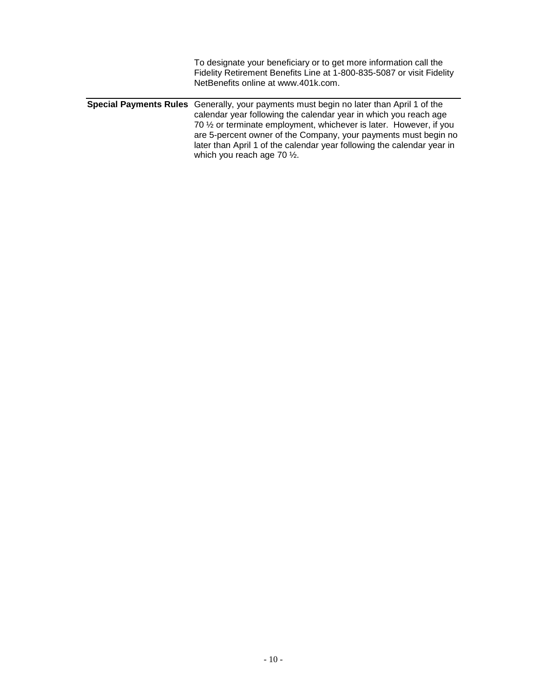| To designate your beneficiary or to get more information call the<br>Fidelity Retirement Benefits Line at 1-800-835-5087 or visit Fidelity<br>NetBenefits online at www.401k.com.                                                                                                                                                                                                                                                |
|----------------------------------------------------------------------------------------------------------------------------------------------------------------------------------------------------------------------------------------------------------------------------------------------------------------------------------------------------------------------------------------------------------------------------------|
| <b>Special Payments Rules</b> Generally, your payments must begin no later than April 1 of the<br>calendar year following the calendar year in which you reach age<br>70 1/2 or terminate employment, whichever is later. However, if you<br>are 5-percent owner of the Company, your payments must begin no<br>later than April 1 of the calendar year following the calendar year in<br>which you reach age 70 $\frac{1}{2}$ . |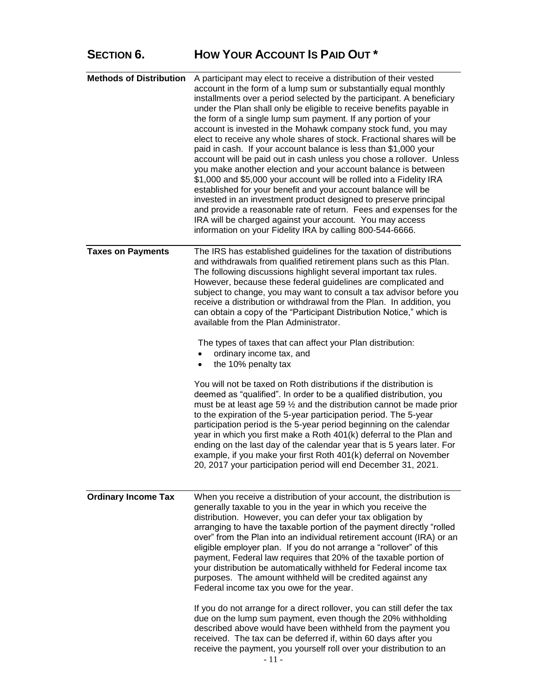## **SECTION 6. HOW YOUR ACCOUNT IS PAID OUT \***

| <b>Methods of Distribution</b> | A participant may elect to receive a distribution of their vested<br>account in the form of a lump sum or substantially equal monthly<br>installments over a period selected by the participant. A beneficiary<br>under the Plan shall only be eligible to receive benefits payable in<br>the form of a single lump sum payment. If any portion of your<br>account is invested in the Mohawk company stock fund, you may<br>elect to receive any whole shares of stock. Fractional shares will be<br>paid in cash. If your account balance is less than \$1,000 your<br>account will be paid out in cash unless you chose a rollover. Unless<br>you make another election and your account balance is between<br>\$1,000 and \$5,000 your account will be rolled into a Fidelity IRA<br>established for your benefit and your account balance will be<br>invested in an investment product designed to preserve principal<br>and provide a reasonable rate of return. Fees and expenses for the<br>IRA will be charged against your account. You may access<br>information on your Fidelity IRA by calling 800-544-6666. |
|--------------------------------|--------------------------------------------------------------------------------------------------------------------------------------------------------------------------------------------------------------------------------------------------------------------------------------------------------------------------------------------------------------------------------------------------------------------------------------------------------------------------------------------------------------------------------------------------------------------------------------------------------------------------------------------------------------------------------------------------------------------------------------------------------------------------------------------------------------------------------------------------------------------------------------------------------------------------------------------------------------------------------------------------------------------------------------------------------------------------------------------------------------------------|
| <b>Taxes on Payments</b>       | The IRS has established guidelines for the taxation of distributions<br>and withdrawals from qualified retirement plans such as this Plan.<br>The following discussions highlight several important tax rules.<br>However, because these federal guidelines are complicated and<br>subject to change, you may want to consult a tax advisor before you<br>receive a distribution or withdrawal from the Plan. In addition, you<br>can obtain a copy of the "Participant Distribution Notice," which is<br>available from the Plan Administrator.<br>The types of taxes that can affect your Plan distribution:<br>ordinary income tax, and                                                                                                                                                                                                                                                                                                                                                                                                                                                                               |
|                                | the 10% penalty tax<br>You will not be taxed on Roth distributions if the distribution is<br>deemed as "qualified". In order to be a qualified distribution, you<br>must be at least age 59 1/2 and the distribution cannot be made prior<br>to the expiration of the 5-year participation period. The 5-year<br>participation period is the 5-year period beginning on the calendar<br>year in which you first make a Roth 401(k) deferral to the Plan and<br>ending on the last day of the calendar year that is 5 years later. For<br>example, if you make your first Roth 401(k) deferral on November<br>20, 2017 your participation period will end December 31, 2021.                                                                                                                                                                                                                                                                                                                                                                                                                                              |
| <b>Ordinary Income Tax</b>     | When you receive a distribution of your account, the distribution is<br>generally taxable to you in the year in which you receive the<br>distribution. However, you can defer your tax obligation by<br>arranging to have the taxable portion of the payment directly "rolled<br>over" from the Plan into an individual retirement account (IRA) or an<br>eligible employer plan. If you do not arrange a "rollover" of this<br>payment, Federal law requires that 20% of the taxable portion of<br>your distribution be automatically withheld for Federal income tax<br>purposes. The amount withheld will be credited against any<br>Federal income tax you owe for the year.                                                                                                                                                                                                                                                                                                                                                                                                                                         |
|                                | If you do not arrange for a direct rollover, you can still defer the tax<br>due on the lump sum payment, even though the 20% withholding<br>described above would have been withheld from the payment you<br>received. The tax can be deferred if, within 60 days after you<br>receive the payment, you yourself roll over your distribution to an                                                                                                                                                                                                                                                                                                                                                                                                                                                                                                                                                                                                                                                                                                                                                                       |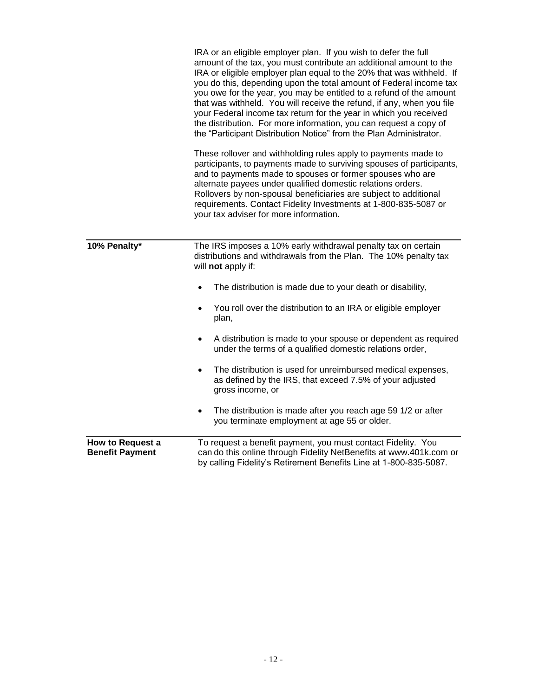|                                            | IRA or an eligible employer plan. If you wish to defer the full<br>amount of the tax, you must contribute an additional amount to the<br>IRA or eligible employer plan equal to the 20% that was withheld. If<br>you do this, depending upon the total amount of Federal income tax<br>you owe for the year, you may be entitled to a refund of the amount<br>that was withheld. You will receive the refund, if any, when you file<br>your Federal income tax return for the year in which you received<br>the distribution. For more information, you can request a copy of<br>the "Participant Distribution Notice" from the Plan Administrator. |
|--------------------------------------------|-----------------------------------------------------------------------------------------------------------------------------------------------------------------------------------------------------------------------------------------------------------------------------------------------------------------------------------------------------------------------------------------------------------------------------------------------------------------------------------------------------------------------------------------------------------------------------------------------------------------------------------------------------|
|                                            | These rollover and withholding rules apply to payments made to<br>participants, to payments made to surviving spouses of participants,<br>and to payments made to spouses or former spouses who are<br>alternate payees under qualified domestic relations orders.<br>Rollovers by non-spousal beneficiaries are subject to additional<br>requirements. Contact Fidelity Investments at 1-800-835-5087 or<br>your tax adviser for more information.                                                                                                                                                                                                 |
| 10% Penalty*                               | The IRS imposes a 10% early withdrawal penalty tax on certain<br>distributions and withdrawals from the Plan. The 10% penalty tax<br>will not apply if:<br>The distribution is made due to your death or disability,<br>$\bullet$                                                                                                                                                                                                                                                                                                                                                                                                                   |
|                                            | You roll over the distribution to an IRA or eligible employer<br>$\bullet$<br>plan,                                                                                                                                                                                                                                                                                                                                                                                                                                                                                                                                                                 |
|                                            | A distribution is made to your spouse or dependent as required<br>$\bullet$<br>under the terms of a qualified domestic relations order,                                                                                                                                                                                                                                                                                                                                                                                                                                                                                                             |
|                                            | The distribution is used for unreimbursed medical expenses,<br>$\bullet$<br>as defined by the IRS, that exceed 7.5% of your adjusted<br>gross income, or                                                                                                                                                                                                                                                                                                                                                                                                                                                                                            |
|                                            | The distribution is made after you reach age 59 1/2 or after<br>$\bullet$<br>you terminate employment at age 55 or older.                                                                                                                                                                                                                                                                                                                                                                                                                                                                                                                           |
| How to Request a<br><b>Benefit Payment</b> | To request a benefit payment, you must contact Fidelity. You<br>can do this online through Fidelity NetBenefits at www.401k.com or<br>by calling Fidelity's Retirement Benefits Line at 1-800-835-5087.                                                                                                                                                                                                                                                                                                                                                                                                                                             |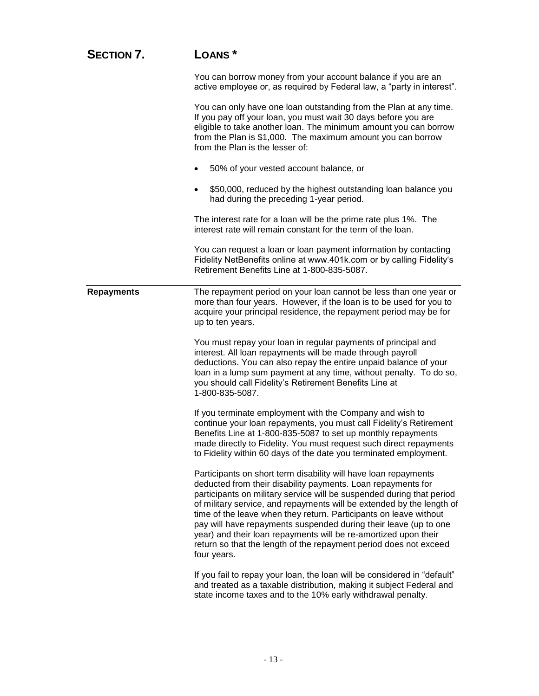| <b>SECTION 7.</b> | LOANS <sup>*</sup>                                                                                                                                                                                                                                                                                                                                                                                                                                                                                                                                                                |
|-------------------|-----------------------------------------------------------------------------------------------------------------------------------------------------------------------------------------------------------------------------------------------------------------------------------------------------------------------------------------------------------------------------------------------------------------------------------------------------------------------------------------------------------------------------------------------------------------------------------|
|                   | You can borrow money from your account balance if you are an<br>active employee or, as required by Federal law, a "party in interest".                                                                                                                                                                                                                                                                                                                                                                                                                                            |
|                   | You can only have one loan outstanding from the Plan at any time.<br>If you pay off your loan, you must wait 30 days before you are<br>eligible to take another loan. The minimum amount you can borrow<br>from the Plan is \$1,000. The maximum amount you can borrow<br>from the Plan is the lesser of:                                                                                                                                                                                                                                                                         |
|                   | 50% of your vested account balance, or                                                                                                                                                                                                                                                                                                                                                                                                                                                                                                                                            |
|                   | \$50,000, reduced by the highest outstanding loan balance you<br>had during the preceding 1-year period.                                                                                                                                                                                                                                                                                                                                                                                                                                                                          |
|                   | The interest rate for a loan will be the prime rate plus 1%. The<br>interest rate will remain constant for the term of the loan.                                                                                                                                                                                                                                                                                                                                                                                                                                                  |
|                   | You can request a loan or loan payment information by contacting<br>Fidelity NetBenefits online at www.401k.com or by calling Fidelity's<br>Retirement Benefits Line at 1-800-835-5087.                                                                                                                                                                                                                                                                                                                                                                                           |
| <b>Repayments</b> | The repayment period on your loan cannot be less than one year or<br>more than four years. However, if the loan is to be used for you to<br>acquire your principal residence, the repayment period may be for<br>up to ten years.                                                                                                                                                                                                                                                                                                                                                 |
|                   | You must repay your loan in regular payments of principal and<br>interest. All loan repayments will be made through payroll<br>deductions. You can also repay the entire unpaid balance of your<br>loan in a lump sum payment at any time, without penalty. To do so,<br>you should call Fidelity's Retirement Benefits Line at<br>1-800-835-5087.                                                                                                                                                                                                                                |
|                   | If you terminate employment with the Company and wish to<br>continue your loan repayments, you must call Fidelity's Retirement<br>Benefits Line at 1-800-835-5087 to set up monthly repayments<br>made directly to Fidelity. You must request such direct repayments<br>to Fidelity within 60 days of the date you terminated employment.                                                                                                                                                                                                                                         |
|                   | Participants on short term disability will have loan repayments<br>deducted from their disability payments. Loan repayments for<br>participants on military service will be suspended during that period<br>of military service, and repayments will be extended by the length of<br>time of the leave when they return. Participants on leave without<br>pay will have repayments suspended during their leave (up to one<br>year) and their loan repayments will be re-amortized upon their<br>return so that the length of the repayment period does not exceed<br>four years. |
|                   | If you fail to repay your loan, the loan will be considered in "default"<br>and treated as a taxable distribution, making it subject Federal and<br>state income taxes and to the 10% early withdrawal penalty.                                                                                                                                                                                                                                                                                                                                                                   |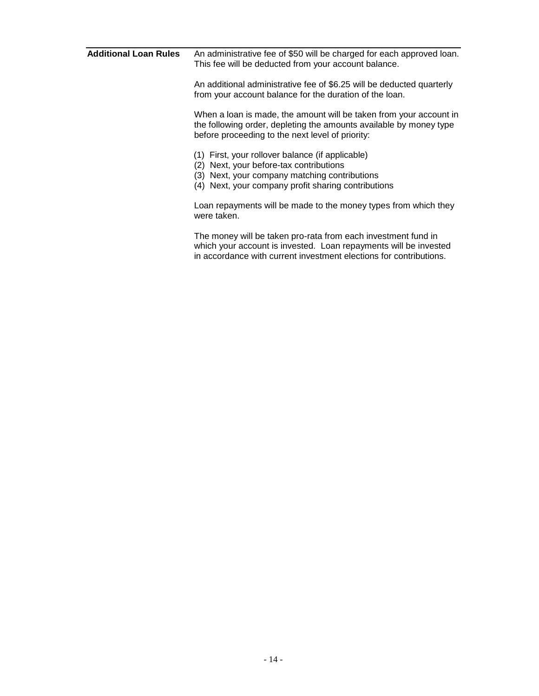| <b>Additional Loan Rules</b> | An administrative fee of \$50 will be charged for each approved loan.<br>This fee will be deducted from your account balance.                                                                           |
|------------------------------|---------------------------------------------------------------------------------------------------------------------------------------------------------------------------------------------------------|
|                              | An additional administrative fee of \$6.25 will be deducted quarterly<br>from your account balance for the duration of the loan.                                                                        |
|                              | When a loan is made, the amount will be taken from your account in<br>the following order, depleting the amounts available by money type<br>before proceeding to the next level of priority:            |
|                              | (1) First, your rollover balance (if applicable)<br>Next, your before-tax contributions<br>(2)<br>(3) Next, your company matching contributions<br>(4) Next, your company profit sharing contributions  |
|                              | Loan repayments will be made to the money types from which they<br>were taken.                                                                                                                          |
|                              | The money will be taken pro-rata from each investment fund in<br>which your account is invested. Loan repayments will be invested<br>in accordance with current investment elections for contributions. |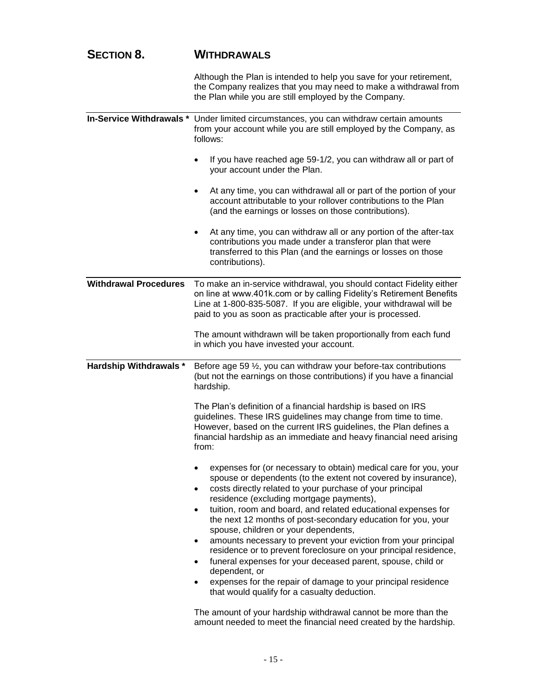| <b>SECTION 8.</b> | <b>WITHDRAWALS</b> |
|-------------------|--------------------|
|-------------------|--------------------|

|                                 | Although the Plan is intended to help you save for your retirement,<br>the Company realizes that you may need to make a withdrawal from<br>the Plan while you are still employed by the Company.                                                                                                                                                                                                                                                                                                                                                                                                                                                                                                                                                                                   |
|---------------------------------|------------------------------------------------------------------------------------------------------------------------------------------------------------------------------------------------------------------------------------------------------------------------------------------------------------------------------------------------------------------------------------------------------------------------------------------------------------------------------------------------------------------------------------------------------------------------------------------------------------------------------------------------------------------------------------------------------------------------------------------------------------------------------------|
| <b>In-Service Withdrawals *</b> | Under limited circumstances, you can withdraw certain amounts<br>from your account while you are still employed by the Company, as<br>follows:                                                                                                                                                                                                                                                                                                                                                                                                                                                                                                                                                                                                                                     |
|                                 | If you have reached age 59-1/2, you can withdraw all or part of<br>your account under the Plan.                                                                                                                                                                                                                                                                                                                                                                                                                                                                                                                                                                                                                                                                                    |
|                                 | At any time, you can withdrawal all or part of the portion of your<br>٠<br>account attributable to your rollover contributions to the Plan<br>(and the earnings or losses on those contributions).                                                                                                                                                                                                                                                                                                                                                                                                                                                                                                                                                                                 |
|                                 | At any time, you can withdraw all or any portion of the after-tax<br>$\bullet$<br>contributions you made under a transferor plan that were<br>transferred to this Plan (and the earnings or losses on those<br>contributions).                                                                                                                                                                                                                                                                                                                                                                                                                                                                                                                                                     |
| <b>Withdrawal Procedures</b>    | To make an in-service withdrawal, you should contact Fidelity either<br>on line at www.401k.com or by calling Fidelity's Retirement Benefits<br>Line at 1-800-835-5087. If you are eligible, your withdrawal will be<br>paid to you as soon as practicable after your is processed.                                                                                                                                                                                                                                                                                                                                                                                                                                                                                                |
|                                 | The amount withdrawn will be taken proportionally from each fund<br>in which you have invested your account.                                                                                                                                                                                                                                                                                                                                                                                                                                                                                                                                                                                                                                                                       |
| <b>Hardship Withdrawals *</b>   | Before age 59 $\frac{1}{2}$ , you can withdraw your before-tax contributions<br>(but not the earnings on those contributions) if you have a financial<br>hardship.                                                                                                                                                                                                                                                                                                                                                                                                                                                                                                                                                                                                                 |
|                                 | The Plan's definition of a financial hardship is based on IRS<br>guidelines. These IRS guidelines may change from time to time.                                                                                                                                                                                                                                                                                                                                                                                                                                                                                                                                                                                                                                                    |
|                                 | However, based on the current IRS guidelines, the Plan defines a<br>financial hardship as an immediate and heavy financial need arising<br>from:                                                                                                                                                                                                                                                                                                                                                                                                                                                                                                                                                                                                                                   |
|                                 | expenses for (or necessary to obtain) medical care for you, your<br>spouse or dependents (to the extent not covered by insurance),<br>costs directly related to your purchase of your principal<br>٠<br>residence (excluding mortgage payments),<br>tuition, room and board, and related educational expenses for<br>$\bullet$<br>the next 12 months of post-secondary education for you, your<br>spouse, children or your dependents,<br>amounts necessary to prevent your eviction from your principal<br>٠<br>residence or to prevent foreclosure on your principal residence,<br>funeral expenses for your deceased parent, spouse, child or<br>dependent, or<br>expenses for the repair of damage to your principal residence<br>that would qualify for a casualty deduction. |

The amount of your hardship withdrawal cannot be more than the amount needed to meet the financial need created by the hardship.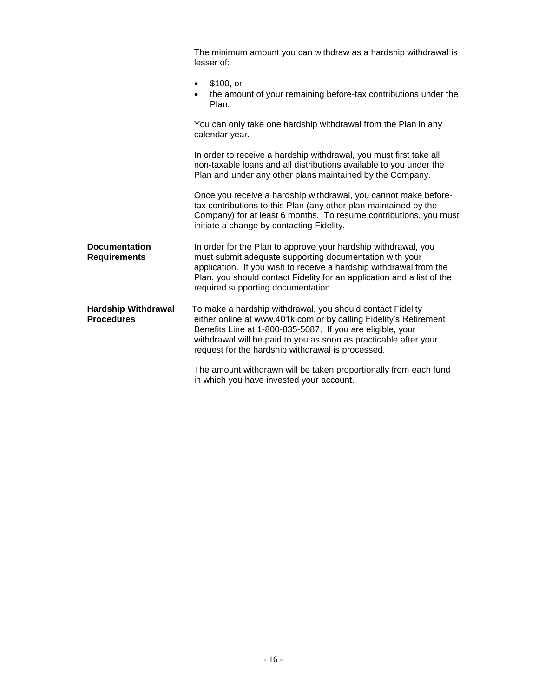|                                                 | The minimum amount you can withdraw as a hardship withdrawal is<br>lesser of:                                                                                                                                                                                                                                          |
|-------------------------------------------------|------------------------------------------------------------------------------------------------------------------------------------------------------------------------------------------------------------------------------------------------------------------------------------------------------------------------|
|                                                 | \$100, or<br>$\bullet$<br>the amount of your remaining before-tax contributions under the<br>Plan.                                                                                                                                                                                                                     |
|                                                 | You can only take one hardship withdrawal from the Plan in any<br>calendar year.                                                                                                                                                                                                                                       |
|                                                 | In order to receive a hardship withdrawal, you must first take all<br>non-taxable loans and all distributions available to you under the<br>Plan and under any other plans maintained by the Company.                                                                                                                  |
|                                                 | Once you receive a hardship withdrawal, you cannot make before-<br>tax contributions to this Plan (any other plan maintained by the<br>Company) for at least 6 months. To resume contributions, you must<br>initiate a change by contacting Fidelity.                                                                  |
| <b>Documentation</b><br><b>Requirements</b>     | In order for the Plan to approve your hardship withdrawal, you<br>must submit adequate supporting documentation with your<br>application. If you wish to receive a hardship withdrawal from the<br>Plan, you should contact Fidelity for an application and a list of the<br>required supporting documentation.        |
| <b>Hardship Withdrawal</b><br><b>Procedures</b> | To make a hardship withdrawal, you should contact Fidelity<br>either online at www.401k.com or by calling Fidelity's Retirement<br>Benefits Line at 1-800-835-5087. If you are eligible, your<br>withdrawal will be paid to you as soon as practicable after your<br>request for the hardship withdrawal is processed. |
|                                                 | The amount withdrawn will be taken proportionally from each fund<br>in which you have invested your account.                                                                                                                                                                                                           |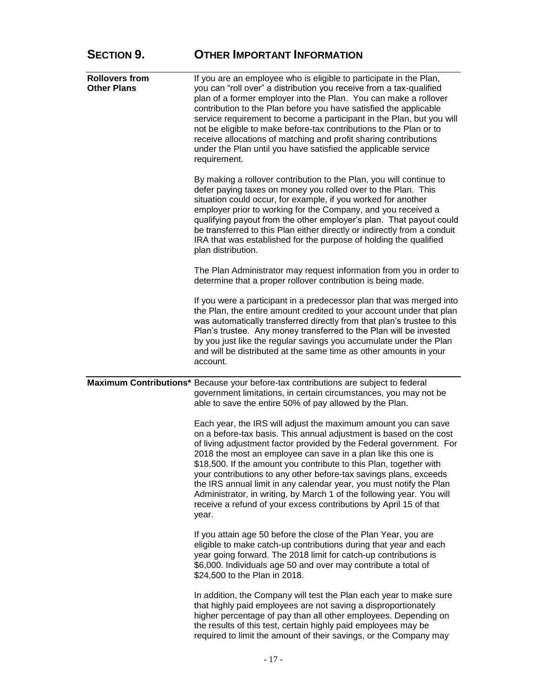| <b>SECTION 9.</b>                           | <b>OTHER IMPORTANT INFORMATION</b>                                                                                                                                                                                                                                                                                                                                                                                                                                                                                                                                                                                                                    |
|---------------------------------------------|-------------------------------------------------------------------------------------------------------------------------------------------------------------------------------------------------------------------------------------------------------------------------------------------------------------------------------------------------------------------------------------------------------------------------------------------------------------------------------------------------------------------------------------------------------------------------------------------------------------------------------------------------------|
| <b>Rollovers from</b><br><b>Other Plans</b> | If you are an employee who is eligible to participate in the Plan,<br>you can "roll over" a distribution you receive from a tax-qualified<br>plan of a former employer into the Plan. You can make a rollover<br>contribution to the Plan before you have satisfied the applicable<br>service requirement to become a participant in the Plan, but you will<br>not be eligible to make before-tax contributions to the Plan or to<br>receive allocations of matching and profit sharing contributions<br>under the Plan until you have satisfied the applicable service<br>requirement.                                                               |
|                                             | By making a rollover contribution to the Plan, you will continue to<br>defer paying taxes on money you rolled over to the Plan. This<br>situation could occur, for example, if you worked for another<br>employer prior to working for the Company, and you received a<br>qualifying payout from the other employer's plan. That payout could<br>be transferred to this Plan either directly or indirectly from a conduit<br>IRA that was established for the purpose of holding the qualified<br>plan distribution.                                                                                                                                  |
|                                             | The Plan Administrator may request information from you in order to<br>determine that a proper rollover contribution is being made.                                                                                                                                                                                                                                                                                                                                                                                                                                                                                                                   |
|                                             | If you were a participant in a predecessor plan that was merged into<br>the Plan, the entire amount credited to your account under that plan<br>was automatically transferred directly from that plan's trustee to this<br>Plan's trustee. Any money transferred to the Plan will be invested<br>by you just like the regular savings you accumulate under the Plan<br>and will be distributed at the same time as other amounts in your<br>account.                                                                                                                                                                                                  |
|                                             | Maximum Contributions* Because your before-tax contributions are subject to federal<br>government limitations, in certain circumstances, you may not be<br>able to save the entire 50% of pay allowed by the Plan.                                                                                                                                                                                                                                                                                                                                                                                                                                    |
|                                             | Each year, the IRS will adjust the maximum amount you can save<br>on a before-tax basis. This annual adjustment is based on the cost<br>of living adjustment factor provided by the Federal government. For<br>2018 the most an employee can save in a plan like this one is<br>\$18,500. If the amount you contribute to this Plan, together with<br>your contributions to any other before-tax savings plans, exceeds<br>the IRS annual limit in any calendar year, you must notify the Plan<br>Administrator, in writing, by March 1 of the following year. You will<br>receive a refund of your excess contributions by April 15 of that<br>year. |
|                                             | If you attain age 50 before the close of the Plan Year, you are<br>eligible to make catch-up contributions during that year and each<br>year going forward. The 2018 limit for catch-up contributions is<br>\$6,000. Individuals age 50 and over may contribute a total of<br>\$24,500 to the Plan in 2018.                                                                                                                                                                                                                                                                                                                                           |
|                                             | In addition, the Company will test the Plan each year to make sure<br>that highly paid employees are not saving a disproportionately<br>higher percentage of pay than all other employees. Depending on<br>the results of this test, certain highly paid employees may be<br>required to limit the amount of their savings, or the Company may                                                                                                                                                                                                                                                                                                        |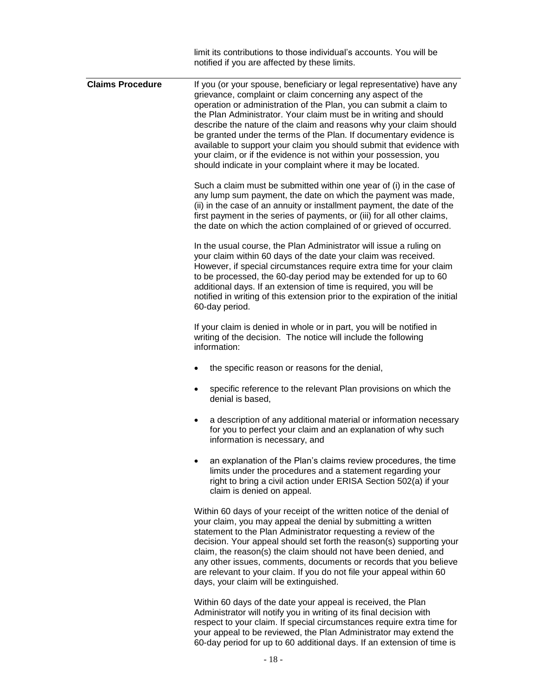|                         | limit its contributions to those individual's accounts. You will be<br>notified if you are affected by these limits.                                                                                                                                                                                                                                                                                                                                                                                                                                                                                                                 |
|-------------------------|--------------------------------------------------------------------------------------------------------------------------------------------------------------------------------------------------------------------------------------------------------------------------------------------------------------------------------------------------------------------------------------------------------------------------------------------------------------------------------------------------------------------------------------------------------------------------------------------------------------------------------------|
| <b>Claims Procedure</b> | If you (or your spouse, beneficiary or legal representative) have any<br>grievance, complaint or claim concerning any aspect of the<br>operation or administration of the Plan, you can submit a claim to<br>the Plan Administrator. Your claim must be in writing and should<br>describe the nature of the claim and reasons why your claim should<br>be granted under the terms of the Plan. If documentary evidence is<br>available to support your claim you should submit that evidence with<br>your claim, or if the evidence is not within your possession, you<br>should indicate in your complaint where it may be located. |
|                         | Such a claim must be submitted within one year of (i) in the case of<br>any lump sum payment, the date on which the payment was made,<br>(ii) in the case of an annuity or installment payment, the date of the<br>first payment in the series of payments, or (iii) for all other claims,<br>the date on which the action complained of or grieved of occurred.                                                                                                                                                                                                                                                                     |
|                         | In the usual course, the Plan Administrator will issue a ruling on<br>your claim within 60 days of the date your claim was received.<br>However, if special circumstances require extra time for your claim<br>to be processed, the 60-day period may be extended for up to 60<br>additional days. If an extension of time is required, you will be<br>notified in writing of this extension prior to the expiration of the initial<br>60-day period.                                                                                                                                                                                |
|                         | If your claim is denied in whole or in part, you will be notified in<br>writing of the decision. The notice will include the following<br>information:                                                                                                                                                                                                                                                                                                                                                                                                                                                                               |
|                         | the specific reason or reasons for the denial,                                                                                                                                                                                                                                                                                                                                                                                                                                                                                                                                                                                       |
|                         | specific reference to the relevant Plan provisions on which the<br>denial is based.                                                                                                                                                                                                                                                                                                                                                                                                                                                                                                                                                  |
|                         | a description of any additional material or information necessary<br>٠<br>for you to perfect your claim and an explanation of why such<br>information is necessary, and                                                                                                                                                                                                                                                                                                                                                                                                                                                              |
|                         | an explanation of the Plan's claims review procedures, the time<br>limits under the procedures and a statement regarding your<br>right to bring a civil action under ERISA Section 502(a) if your<br>claim is denied on appeal.                                                                                                                                                                                                                                                                                                                                                                                                      |
|                         | Within 60 days of your receipt of the written notice of the denial of<br>your claim, you may appeal the denial by submitting a written<br>statement to the Plan Administrator requesting a review of the<br>decision. Your appeal should set forth the reason(s) supporting your<br>claim, the reason(s) the claim should not have been denied, and<br>any other issues, comments, documents or records that you believe<br>are relevant to your claim. If you do not file your appeal within 60<br>days, your claim will be extinguished.                                                                                           |
|                         | Within CO down of the date your appeal is resolved the Dlar                                                                                                                                                                                                                                                                                                                                                                                                                                                                                                                                                                          |

Within 60 days of the date your appeal is received, the Plan Administrator will notify you in writing of its final decision with respect to your claim. If special circumstances require extra time for your appeal to be reviewed, the Plan Administrator may extend the 60-day period for up to 60 additional days. If an extension of time is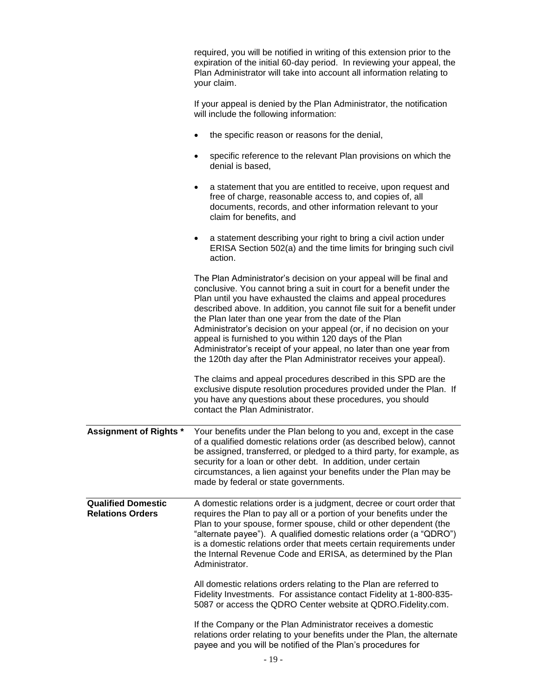|                                                      | required, you will be notified in writing of this extension prior to the<br>expiration of the initial 60-day period. In reviewing your appeal, the<br>Plan Administrator will take into account all information relating to<br>your claim.                                                                                                                                                                                                                                                                                                                                                                                    |
|------------------------------------------------------|-------------------------------------------------------------------------------------------------------------------------------------------------------------------------------------------------------------------------------------------------------------------------------------------------------------------------------------------------------------------------------------------------------------------------------------------------------------------------------------------------------------------------------------------------------------------------------------------------------------------------------|
|                                                      | If your appeal is denied by the Plan Administrator, the notification<br>will include the following information:                                                                                                                                                                                                                                                                                                                                                                                                                                                                                                               |
|                                                      | the specific reason or reasons for the denial,<br>$\bullet$                                                                                                                                                                                                                                                                                                                                                                                                                                                                                                                                                                   |
|                                                      | specific reference to the relevant Plan provisions on which the<br>$\bullet$<br>denial is based,                                                                                                                                                                                                                                                                                                                                                                                                                                                                                                                              |
|                                                      | a statement that you are entitled to receive, upon request and<br>٠<br>free of charge, reasonable access to, and copies of, all<br>documents, records, and other information relevant to your<br>claim for benefits, and                                                                                                                                                                                                                                                                                                                                                                                                      |
|                                                      | a statement describing your right to bring a civil action under<br>٠<br>ERISA Section 502(a) and the time limits for bringing such civil<br>action.                                                                                                                                                                                                                                                                                                                                                                                                                                                                           |
|                                                      | The Plan Administrator's decision on your appeal will be final and<br>conclusive. You cannot bring a suit in court for a benefit under the<br>Plan until you have exhausted the claims and appeal procedures<br>described above. In addition, you cannot file suit for a benefit under<br>the Plan later than one year from the date of the Plan<br>Administrator's decision on your appeal (or, if no decision on your<br>appeal is furnished to you within 120 days of the Plan<br>Administrator's receipt of your appeal, no later than one year from<br>the 120th day after the Plan Administrator receives your appeal). |
|                                                      | The claims and appeal procedures described in this SPD are the<br>exclusive dispute resolution procedures provided under the Plan. If<br>you have any questions about these procedures, you should<br>contact the Plan Administrator.                                                                                                                                                                                                                                                                                                                                                                                         |
|                                                      | Assignment of Rights * Your benefits under the Plan belong to you and, except in the case<br>of a qualified domestic relations order (as described below), cannot<br>be assigned, transferred, or pledged to a third party, for example, as<br>security for a loan or other debt. In addition, under certain<br>circumstances, a lien against your benefits under the Plan may be<br>made by federal or state governments.                                                                                                                                                                                                    |
| <b>Qualified Domestic</b><br><b>Relations Orders</b> | A domestic relations order is a judgment, decree or court order that<br>requires the Plan to pay all or a portion of your benefits under the<br>Plan to your spouse, former spouse, child or other dependent (the<br>"alternate payee"). A qualified domestic relations order (a "QDRO")<br>is a domestic relations order that meets certain requirements under<br>the Internal Revenue Code and ERISA, as determined by the Plan<br>Administrator.                                                                                                                                                                           |
|                                                      | All domestic relations orders relating to the Plan are referred to<br>Fidelity Investments. For assistance contact Fidelity at 1-800-835-<br>5087 or access the QDRO Center website at QDRO. Fidelity.com.                                                                                                                                                                                                                                                                                                                                                                                                                    |
|                                                      | If the Company or the Plan Administrator receives a domestic<br>relations order relating to your benefits under the Plan, the alternate<br>payee and you will be notified of the Plan's procedures for                                                                                                                                                                                                                                                                                                                                                                                                                        |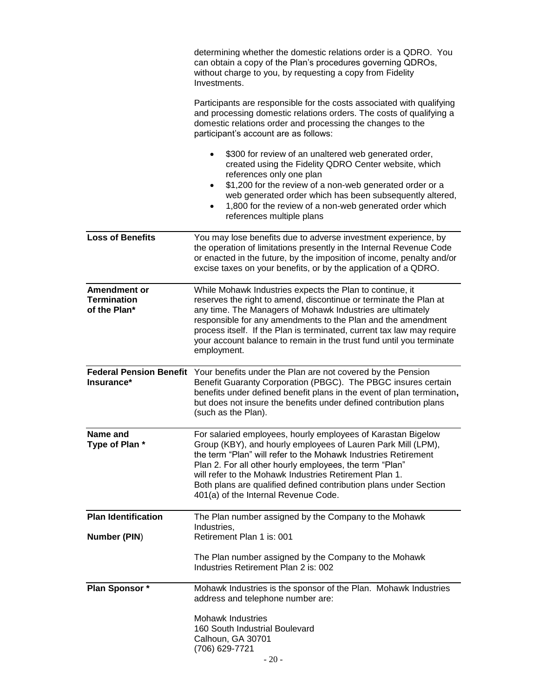|                                                    | determining whether the domestic relations order is a QDRO. You<br>can obtain a copy of the Plan's procedures governing QDROs,<br>without charge to you, by requesting a copy from Fidelity<br>Investments.                                                                                                                                                                                                                      |
|----------------------------------------------------|----------------------------------------------------------------------------------------------------------------------------------------------------------------------------------------------------------------------------------------------------------------------------------------------------------------------------------------------------------------------------------------------------------------------------------|
|                                                    | Participants are responsible for the costs associated with qualifying<br>and processing domestic relations orders. The costs of qualifying a<br>domestic relations order and processing the changes to the<br>participant's account are as follows:                                                                                                                                                                              |
|                                                    | \$300 for review of an unaltered web generated order,<br>created using the Fidelity QDRO Center website, which<br>references only one plan<br>\$1,200 for the review of a non-web generated order or a<br>$\bullet$<br>web generated order which has been subsequently altered,<br>1,800 for the review of a non-web generated order which<br>references multiple plans                                                          |
| <b>Loss of Benefits</b>                            | You may lose benefits due to adverse investment experience, by<br>the operation of limitations presently in the Internal Revenue Code<br>or enacted in the future, by the imposition of income, penalty and/or<br>excise taxes on your benefits, or by the application of a QDRO.                                                                                                                                                |
| Amendment or<br><b>Termination</b><br>of the Plan* | While Mohawk Industries expects the Plan to continue, it<br>reserves the right to amend, discontinue or terminate the Plan at<br>any time. The Managers of Mohawk Industries are ultimately<br>responsible for any amendments to the Plan and the amendment<br>process itself. If the Plan is terminated, current tax law may require<br>your account balance to remain in the trust fund until you terminate<br>employment.     |
| Insurance*                                         | Federal Pension Benefit Your benefits under the Plan are not covered by the Pension<br>Benefit Guaranty Corporation (PBGC). The PBGC insures certain<br>benefits under defined benefit plans in the event of plan termination,<br>but does not insure the benefits under defined contribution plans<br>(such as the Plan).                                                                                                       |
| Name and<br>Type of Plan *                         | For salaried employees, hourly employees of Karastan Bigelow<br>Group (KBY), and hourly employees of Lauren Park Mill (LPM),<br>the term "Plan" will refer to the Mohawk Industries Retirement<br>Plan 2. For all other hourly employees, the term "Plan"<br>will refer to the Mohawk Industries Retirement Plan 1.<br>Both plans are qualified defined contribution plans under Section<br>401(a) of the Internal Revenue Code. |
| <b>Plan Identification</b>                         | The Plan number assigned by the Company to the Mohawk<br>Industries,                                                                                                                                                                                                                                                                                                                                                             |
| <b>Number (PIN)</b>                                | Retirement Plan 1 is: 001                                                                                                                                                                                                                                                                                                                                                                                                        |
|                                                    | The Plan number assigned by the Company to the Mohawk<br>Industries Retirement Plan 2 is: 002                                                                                                                                                                                                                                                                                                                                    |
| Plan Sponsor *                                     | Mohawk Industries is the sponsor of the Plan. Mohawk Industries<br>address and telephone number are:                                                                                                                                                                                                                                                                                                                             |
|                                                    | <b>Mohawk Industries</b><br>160 South Industrial Boulevard<br>Calhoun, GA 30701<br>(706) 629-7721                                                                                                                                                                                                                                                                                                                                |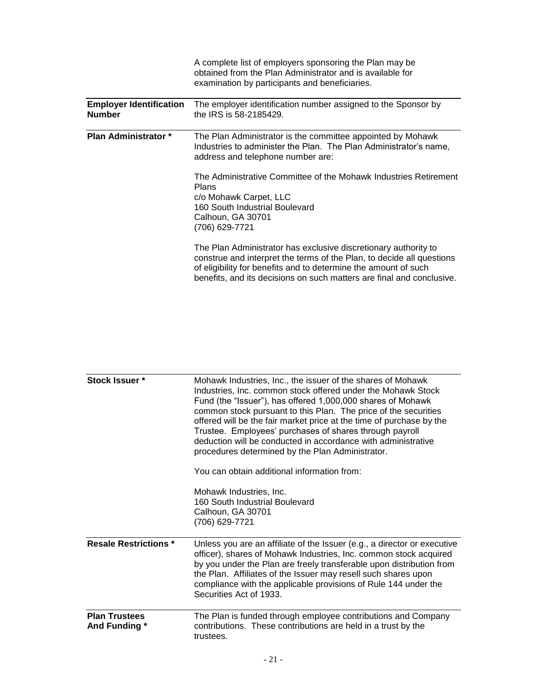|                                                 | A complete list of employers sponsoring the Plan may be<br>obtained from the Plan Administrator and is available for<br>examination by participants and beneficiaries.                                                                                                               |
|-------------------------------------------------|--------------------------------------------------------------------------------------------------------------------------------------------------------------------------------------------------------------------------------------------------------------------------------------|
| <b>Employer Identification</b><br><b>Number</b> | The employer identification number assigned to the Sponsor by<br>the IRS is 58-2185429.                                                                                                                                                                                              |
| Plan Administrator *                            | The Plan Administrator is the committee appointed by Mohawk<br>Industries to administer the Plan. The Plan Administrator's name,<br>address and telephone number are:                                                                                                                |
|                                                 | The Administrative Committee of the Mohawk Industries Retirement<br>Plans<br>c/o Mohawk Carpet, LLC<br>160 South Industrial Boulevard<br>Calhoun, GA 30701<br>(706) 629-7721                                                                                                         |
|                                                 | The Plan Administrator has exclusive discretionary authority to<br>construe and interpret the terms of the Plan, to decide all questions<br>of eligibility for benefits and to determine the amount of such<br>benefits, and its decisions on such matters are final and conclusive. |

| Stock Issuer *                        | Mohawk Industries, Inc., the issuer of the shares of Mohawk<br>Industries, Inc. common stock offered under the Mohawk Stock<br>Fund (the "Issuer"), has offered 1,000,000 shares of Mohawk<br>common stock pursuant to this Plan. The price of the securities<br>offered will be the fair market price at the time of purchase by the<br>Trustee. Employees' purchases of shares through payroll<br>deduction will be conducted in accordance with administrative<br>procedures determined by the Plan Administrator.<br>You can obtain additional information from:<br>Mohawk Industries, Inc.<br>160 South Industrial Boulevard<br>Calhoun, GA 30701<br>(706) 629-7721 |
|---------------------------------------|--------------------------------------------------------------------------------------------------------------------------------------------------------------------------------------------------------------------------------------------------------------------------------------------------------------------------------------------------------------------------------------------------------------------------------------------------------------------------------------------------------------------------------------------------------------------------------------------------------------------------------------------------------------------------|
| <b>Resale Restrictions *</b>          | Unless you are an affiliate of the Issuer (e.g., a director or executive<br>officer), shares of Mohawk Industries, Inc. common stock acquired<br>by you under the Plan are freely transferable upon distribution from<br>the Plan. Affiliates of the Issuer may resell such shares upon<br>compliance with the applicable provisions of Rule 144 under the<br>Securities Act of 1933.                                                                                                                                                                                                                                                                                    |
| <b>Plan Trustees</b><br>And Funding * | The Plan is funded through employee contributions and Company<br>contributions. These contributions are held in a trust by the<br>trustees.                                                                                                                                                                                                                                                                                                                                                                                                                                                                                                                              |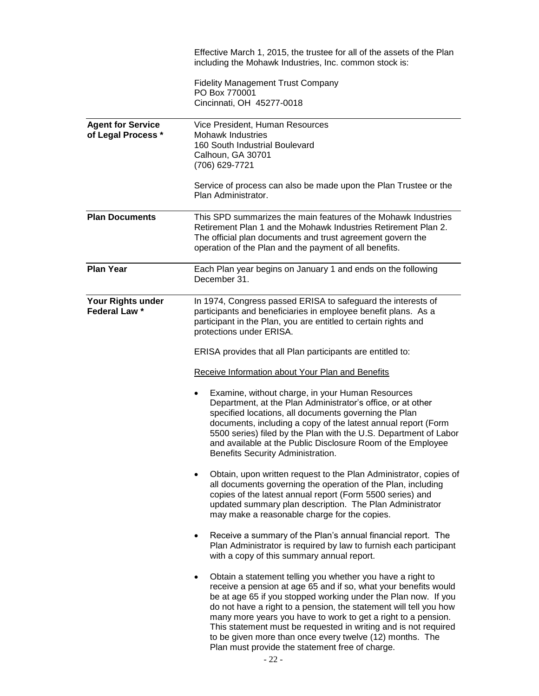|                                                | Effective March 1, 2015, the trustee for all of the assets of the Plan<br>including the Mohawk Industries, Inc. common stock is:                                                                                                                                                                                                                                                                                                                                                                                             |
|------------------------------------------------|------------------------------------------------------------------------------------------------------------------------------------------------------------------------------------------------------------------------------------------------------------------------------------------------------------------------------------------------------------------------------------------------------------------------------------------------------------------------------------------------------------------------------|
|                                                | <b>Fidelity Management Trust Company</b><br>PO Box 770001<br>Cincinnati, OH 45277-0018                                                                                                                                                                                                                                                                                                                                                                                                                                       |
| <b>Agent for Service</b><br>of Legal Process * | Vice President, Human Resources<br><b>Mohawk Industries</b><br>160 South Industrial Boulevard<br>Calhoun, GA 30701<br>(706) 629-7721                                                                                                                                                                                                                                                                                                                                                                                         |
|                                                | Service of process can also be made upon the Plan Trustee or the<br>Plan Administrator.                                                                                                                                                                                                                                                                                                                                                                                                                                      |
| <b>Plan Documents</b>                          | This SPD summarizes the main features of the Mohawk Industries<br>Retirement Plan 1 and the Mohawk Industries Retirement Plan 2.<br>The official plan documents and trust agreement govern the<br>operation of the Plan and the payment of all benefits.                                                                                                                                                                                                                                                                     |
| <b>Plan Year</b>                               | Each Plan year begins on January 1 and ends on the following<br>December 31.                                                                                                                                                                                                                                                                                                                                                                                                                                                 |
| Your Rights under<br>Federal Law *             | In 1974, Congress passed ERISA to safeguard the interests of<br>participants and beneficiaries in employee benefit plans. As a<br>participant in the Plan, you are entitled to certain rights and<br>protections under ERISA.                                                                                                                                                                                                                                                                                                |
|                                                | ERISA provides that all Plan participants are entitled to:                                                                                                                                                                                                                                                                                                                                                                                                                                                                   |
|                                                | Receive Information about Your Plan and Benefits                                                                                                                                                                                                                                                                                                                                                                                                                                                                             |
|                                                | Examine, without charge, in your Human Resources<br>٠<br>Department, at the Plan Administrator's office, or at other<br>specified locations, all documents governing the Plan<br>documents, including a copy of the latest annual report (Form<br>5500 series) filed by the Plan with the U.S. Department of Labor<br>and available at the Public Disclosure Room of the Employee<br>Benefits Security Administration.                                                                                                       |
|                                                | Obtain, upon written request to the Plan Administrator, copies of<br>all documents governing the operation of the Plan, including<br>copies of the latest annual report (Form 5500 series) and<br>updated summary plan description. The Plan Administrator<br>may make a reasonable charge for the copies.                                                                                                                                                                                                                   |
|                                                | Receive a summary of the Plan's annual financial report. The<br>$\bullet$<br>Plan Administrator is required by law to furnish each participant<br>with a copy of this summary annual report.                                                                                                                                                                                                                                                                                                                                 |
|                                                | Obtain a statement telling you whether you have a right to<br>٠<br>receive a pension at age 65 and if so, what your benefits would<br>be at age 65 if you stopped working under the Plan now. If you<br>do not have a right to a pension, the statement will tell you how<br>many more years you have to work to get a right to a pension.<br>This statement must be requested in writing and is not required<br>to be given more than once every twelve (12) months. The<br>Plan must provide the statement free of charge. |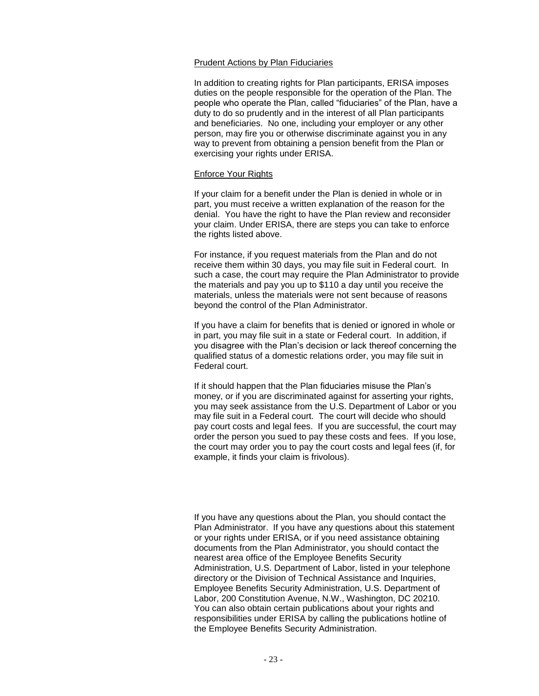#### Prudent Actions by Plan Fiduciaries

In addition to creating rights for Plan participants, ERISA imposes duties on the people responsible for the operation of the Plan. The people who operate the Plan, called "fiduciaries" of the Plan, have a duty to do so prudently and in the interest of all Plan participants and beneficiaries. No one, including your employer or any other person, may fire you or otherwise discriminate against you in any way to prevent from obtaining a pension benefit from the Plan or exercising your rights under ERISA.

#### Enforce Your Rights

If your claim for a benefit under the Plan is denied in whole or in part, you must receive a written explanation of the reason for the denial. You have the right to have the Plan review and reconsider your claim. Under ERISA, there are steps you can take to enforce the rights listed above.

For instance, if you request materials from the Plan and do not receive them within 30 days, you may file suit in Federal court. In such a case, the court may require the Plan Administrator to provide the materials and pay you up to \$110 a day until you receive the materials, unless the materials were not sent because of reasons beyond the control of the Plan Administrator.

If you have a claim for benefits that is denied or ignored in whole or in part, you may file suit in a state or Federal court. In addition, if you disagree with the Plan's decision or lack thereof concerning the qualified status of a domestic relations order, you may file suit in Federal court.

If it should happen that the Plan fiduciaries misuse the Plan's money, or if you are discriminated against for asserting your rights, you may seek assistance from the U.S. Department of Labor or you may file suit in a Federal court. The court will decide who should pay court costs and legal fees. If you are successful, the court may order the person you sued to pay these costs and fees. If you lose, the court may order you to pay the court costs and legal fees (if, for example, it finds your claim is frivolous).

If you have any questions about the Plan, you should contact the Plan Administrator. If you have any questions about this statement or your rights under ERISA, or if you need assistance obtaining documents from the Plan Administrator, you should contact the nearest area office of the Employee Benefits Security Administration, U.S. Department of Labor, listed in your telephone directory or the Division of Technical Assistance and Inquiries, Employee Benefits Security Administration, U.S. Department of Labor, 200 Constitution Avenue, N.W., Washington, DC 20210. You can also obtain certain publications about your rights and responsibilities under ERISA by calling the publications hotline of the Employee Benefits Security Administration.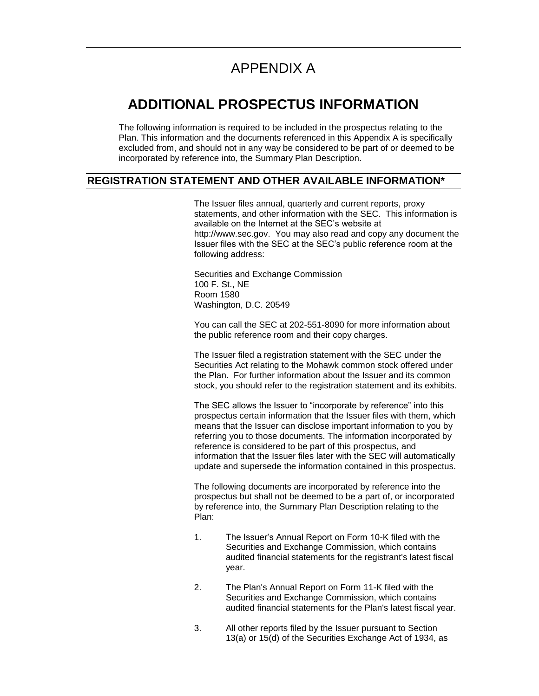# APPENDIX A

## **ADDITIONAL PROSPECTUS INFORMATION**

The following information is required to be included in the prospectus relating to the Plan. This information and the documents referenced in this Appendix A is specifically excluded from, and should not in any way be considered to be part of or deemed to be incorporated by reference into, the Summary Plan Description.

#### **REGISTRATION STATEMENT AND OTHER AVAILABLE INFORMATION\***

The Issuer files annual, quarterly and current reports, proxy statements, and other information with the SEC. This information is available on the Internet at the SEC's website at http://www.sec.gov. You may also read and copy any document the Issuer files with the SEC at the SEC's public reference room at the following address:

Securities and Exchange Commission 100 F. St., NE Room 1580 Washington, D.C. 20549

You can call the SEC at 202-551-8090 for more information about the public reference room and their copy charges.

The Issuer filed a registration statement with the SEC under the Securities Act relating to the Mohawk common stock offered under the Plan. For further information about the Issuer and its common stock, you should refer to the registration statement and its exhibits.

The SEC allows the Issuer to "incorporate by reference" into this prospectus certain information that the Issuer files with them, which means that the Issuer can disclose important information to you by referring you to those documents. The information incorporated by reference is considered to be part of this prospectus, and information that the Issuer files later with the SEC will automatically update and supersede the information contained in this prospectus.

The following documents are incorporated by reference into the prospectus but shall not be deemed to be a part of, or incorporated by reference into, the Summary Plan Description relating to the Plan:

- 1. The Issuer's Annual Report on Form 10-K filed with the Securities and Exchange Commission, which contains audited financial statements for the registrant's latest fiscal year.
- 2. The Plan's Annual Report on Form 11-K filed with the Securities and Exchange Commission, which contains audited financial statements for the Plan's latest fiscal year.
- 3. All other reports filed by the Issuer pursuant to Section 13(a) or 15(d) of the Securities Exchange Act of 1934, as